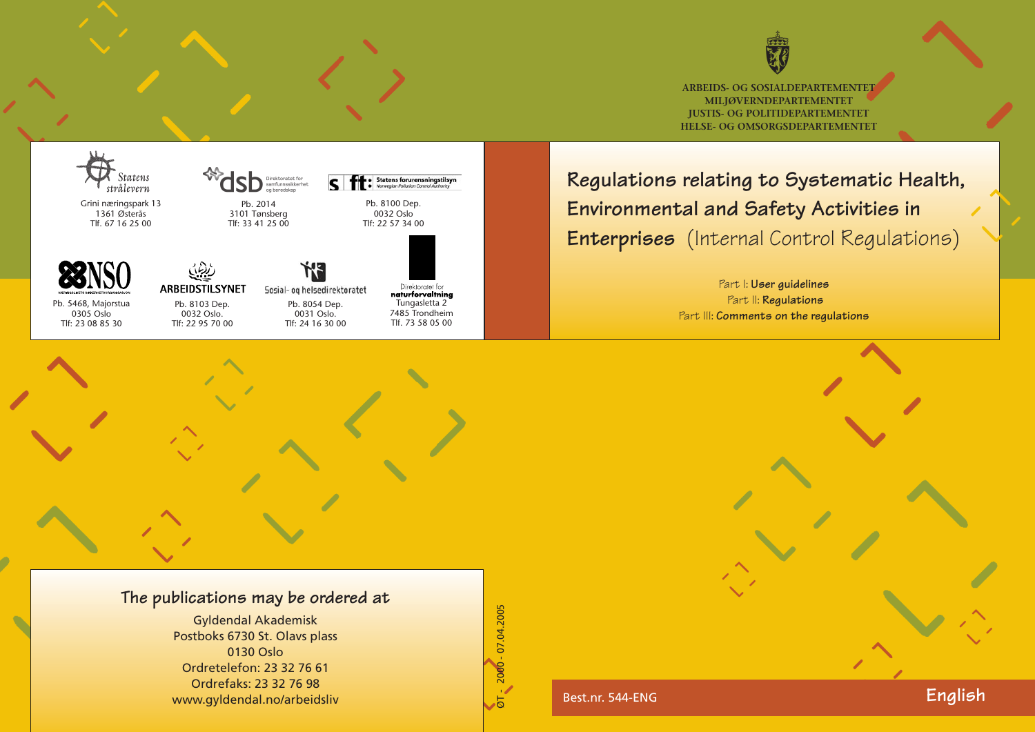

**ARBEIDS- OG SOSIALDEPARTEMENTET MILJØVERNDEPARTEMENTET JUSTIS- OG POLITIDEPARTEMENTET HELSE- OG OMSORGSDEPARTEMENTET**

# **Regulations relating to Systematic Health, Environmental and Safety Activities in Enterprises** (Internal Control Regulations)

Part I: **User guidelines** Part II: **Regulations** Part III: **Comments on the regulations**

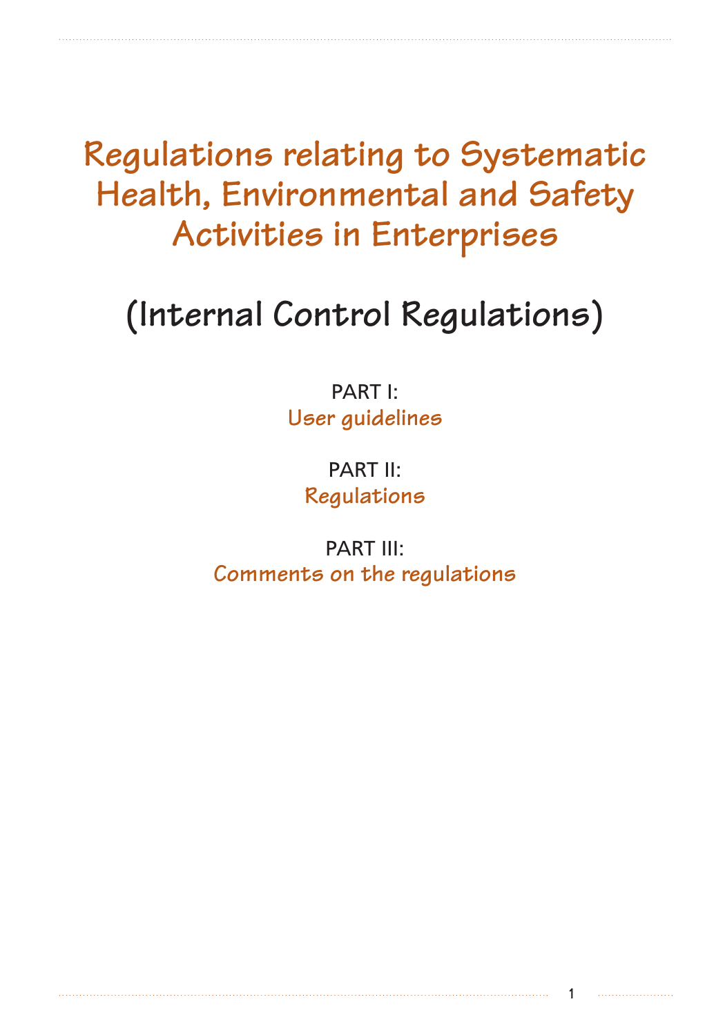**Regulations relating to Systematic Health, Environmental and Safety Activities in Enterprises** 

# **(Internal Control Regulations)**

PART I: **User guidelines**

> PART II: **Regulations**

PART III: **Comments on the regulations**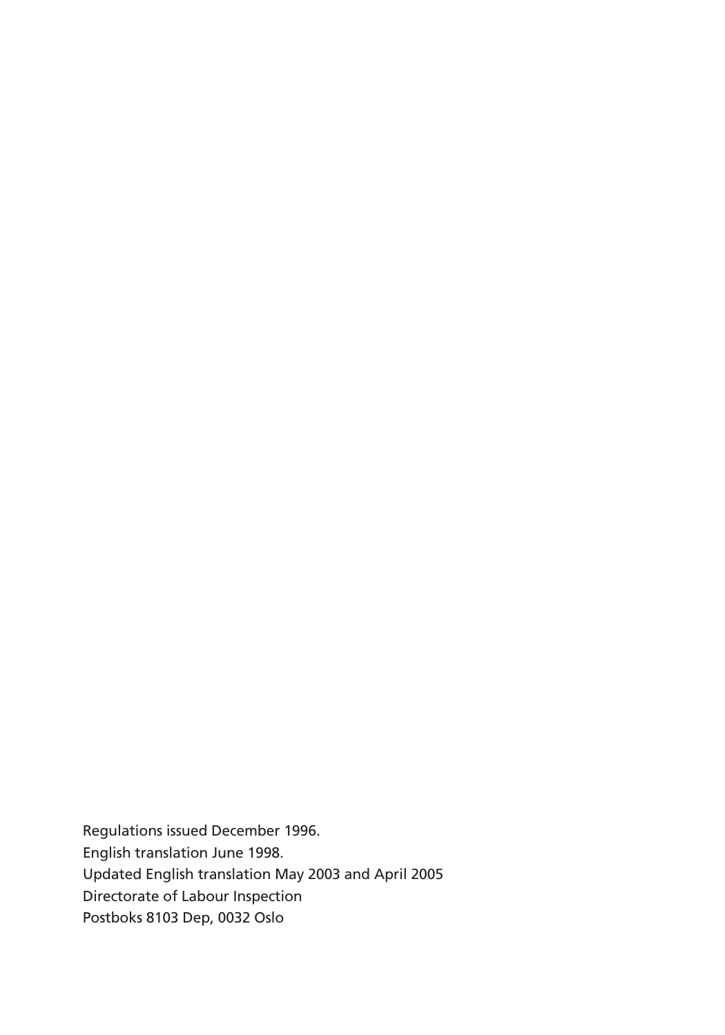Regulations issued December 1996. English translation June 1998. Updated English translation May 2003 and April 2005 Directorate of Labour Inspection Postboks 8103 Dep, 0032 Oslo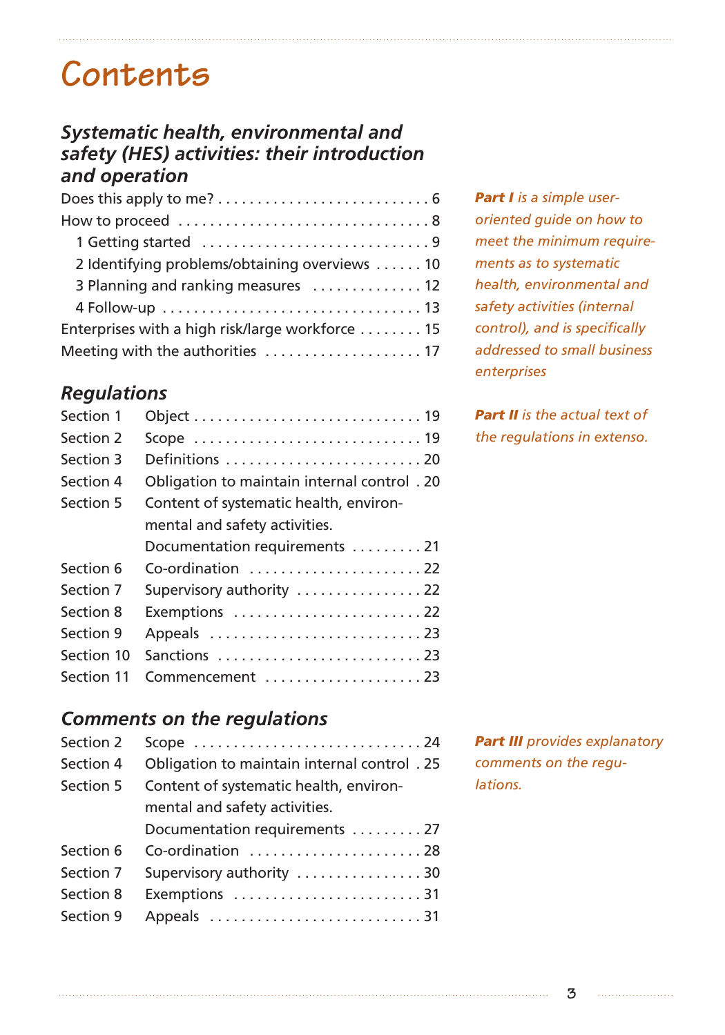# **Contents**

### *Systematic health, environmental and safety (HES) activities: their introduction and operation*

## *Regulations*

| Section 1  |                                             |
|------------|---------------------------------------------|
| Section 2  |                                             |
| Section 3  | Definitions 20                              |
| Section 4  | Obligation to maintain internal control. 20 |
| Section 5  | Content of systematic health, environ-      |
|            | mental and safety activities.               |
|            | Documentation requirements 21               |
| Section 6  | Co-ordination  22                           |
| Section 7  | Supervisory authority 22                    |
| Section 8  | Exemptions  22                              |
| Section 9  |                                             |
| Section 10 | Sanctions 23                                |
| Section 11 | Commencement 23                             |

### *Comments on the regulations*

| Section 2 |                                             |  |  |
|-----------|---------------------------------------------|--|--|
| Section 4 | Obligation to maintain internal control. 25 |  |  |
| Section 5 | Content of systematic health, environ-      |  |  |
|           | mental and safety activities.               |  |  |
|           | Documentation requirements  27              |  |  |
| Section 6 | Co-ordination 28                            |  |  |
| Section 7 | Supervisory authority 30                    |  |  |
| Section 8 | Exemptions 31                               |  |  |
| Section 9 | Appeals 31                                  |  |  |
|           |                                             |  |  |

*Part I is a simple useroriented guide on how to meet the minimum requirements as to systematic health, environmental and safety activities (internal control), and is specifically addressed to small business enterprises*

*Part II is the actual text of the regulations in extenso.*

*Part III provides explanatory comments on the regulations.*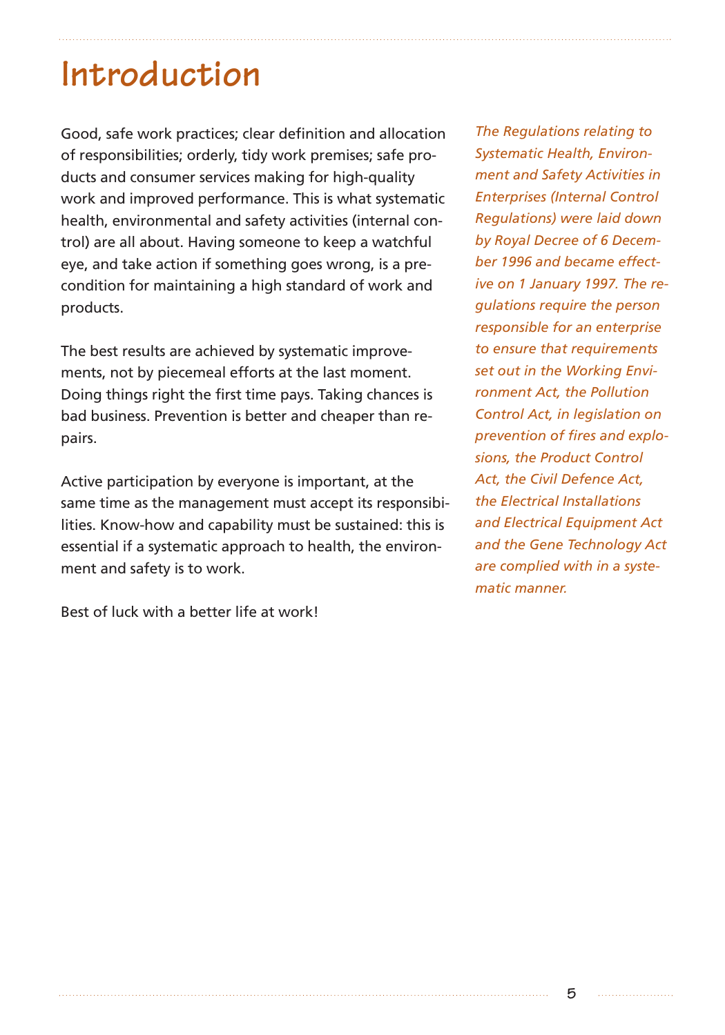# **Introduction**

Good, safe work practices; clear definition and allocation of responsibilities; orderly, tidy work premises; safe products and consumer services making for high-quality work and improved performance. This is what systematic health, environmental and safety activities (internal control) are all about. Having someone to keep a watchful eye, and take action if something goes wrong, is a precondition for maintaining a high standard of work and products.

The best results are achieved by systematic improvements, not by piecemeal efforts at the last moment. Doing things right the first time pays. Taking chances is bad business. Prevention is better and cheaper than repairs.

Active participation by everyone is important, at the same time as the management must accept its responsibilities. Know-how and capability must be sustained: this is essential if a systematic approach to health, the environment and safety is to work.

Best of luck with a better life at work!

*The Regulations relating to Systematic Health, Environment and Safety Activities in Enterprises (Internal Control Regulations) were laid down by Royal Decree of 6 December 1996 and became effective on 1 January 1997. The regulations require the person responsible for an enterprise to ensure that requirements set out in the Working Environment Act, the Pollution Control Act, in legislation on prevention of fires and explosions, the Product Control Act, the Civil Defence Act, the Electrical Installations and Electrical Equipment Act and the Gene Technology Act are complied with in a systematic manner.*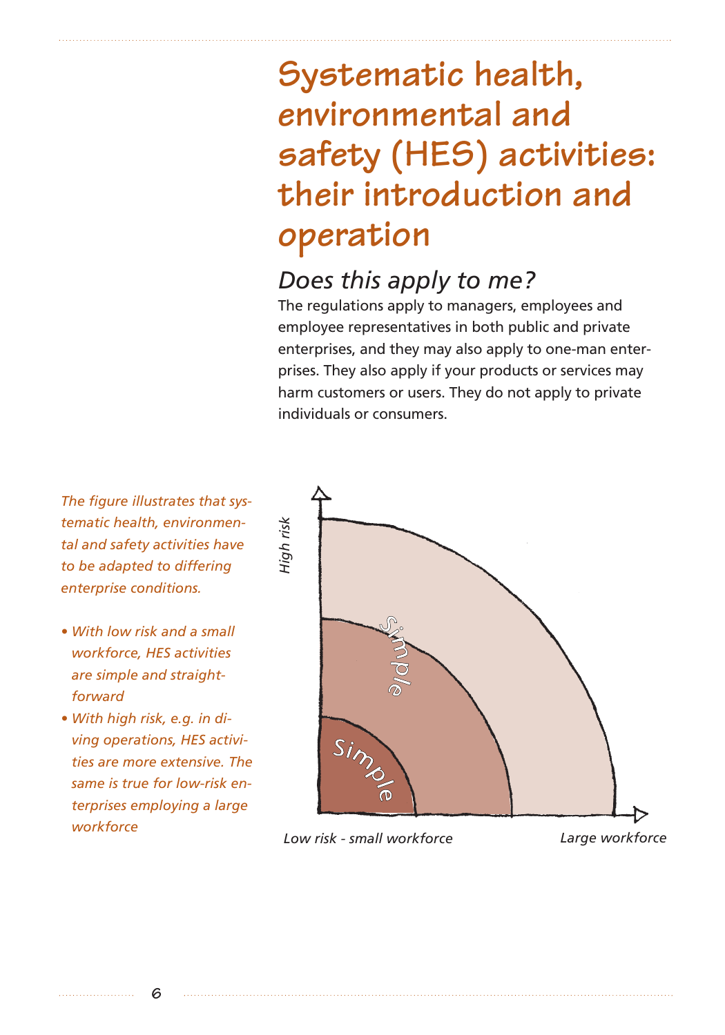# **Systematic health, environmental and safety (HES) activities: their introduction and operation**

## *Does this apply to me?*

The regulations apply to managers, employees and employee representatives in both public and private enterprises, and they may also apply to one-man enterprises. They also apply if your products or services may harm customers or users. They do not apply to private individuals or consumers.

*The figure illustrates that systematic health, environmental and safety activities have to be adapted to differing enterprise conditions.*

- *With low risk and a small workforce, HES activities are simple and straightforward*
- *With high risk, e.g. in diving operations, HES activities are more extensive. The same is true for low-risk enterprises employing a large workforce*

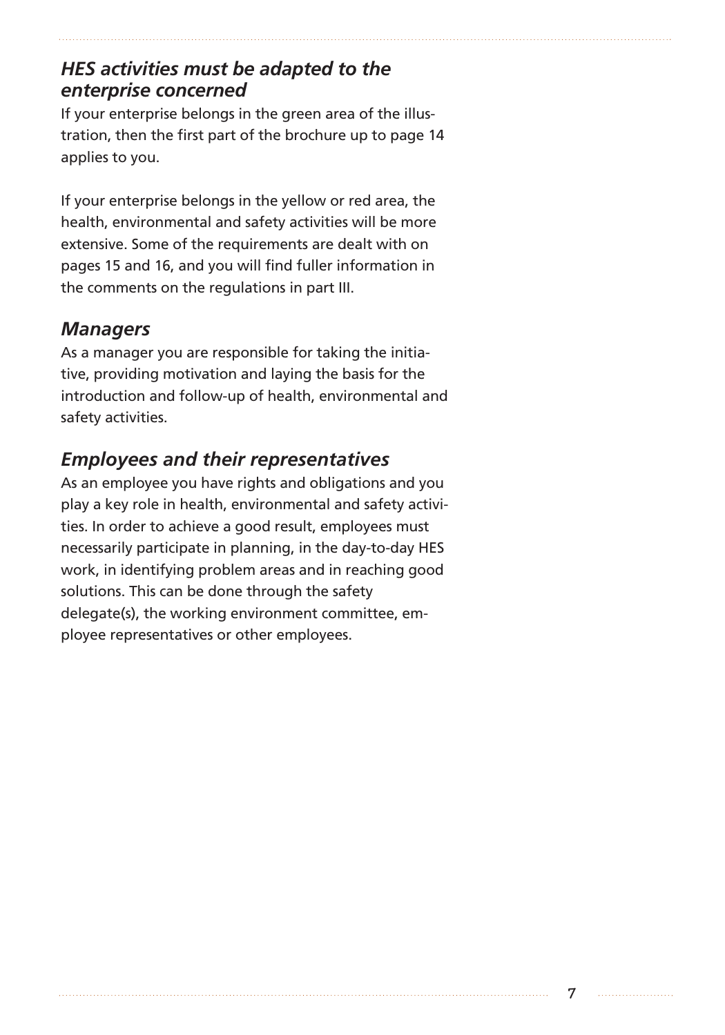## *HES activities must be adapted to the enterprise concerned*

If your enterprise belongs in the green area of the illustration, then the first part of the brochure up to page 14 applies to you.

If your enterprise belongs in the yellow or red area, the health, environmental and safety activities will be more extensive. Some of the requirements are dealt with on pages 15 and 16, and you will find fuller information in the comments on the regulations in part III.

## *Managers*

As a manager you are responsible for taking the initiative, providing motivation and laying the basis for the introduction and follow-up of health, environmental and safety activities.

## *Employees and their representatives*

As an employee you have rights and obligations and you play a key role in health, environmental and safety activities. In order to achieve a good result, employees must necessarily participate in planning, in the day-to-day HES work, in identifying problem areas and in reaching good solutions. This can be done through the safety delegate(s), the working environment committee, employee representatives or other employees.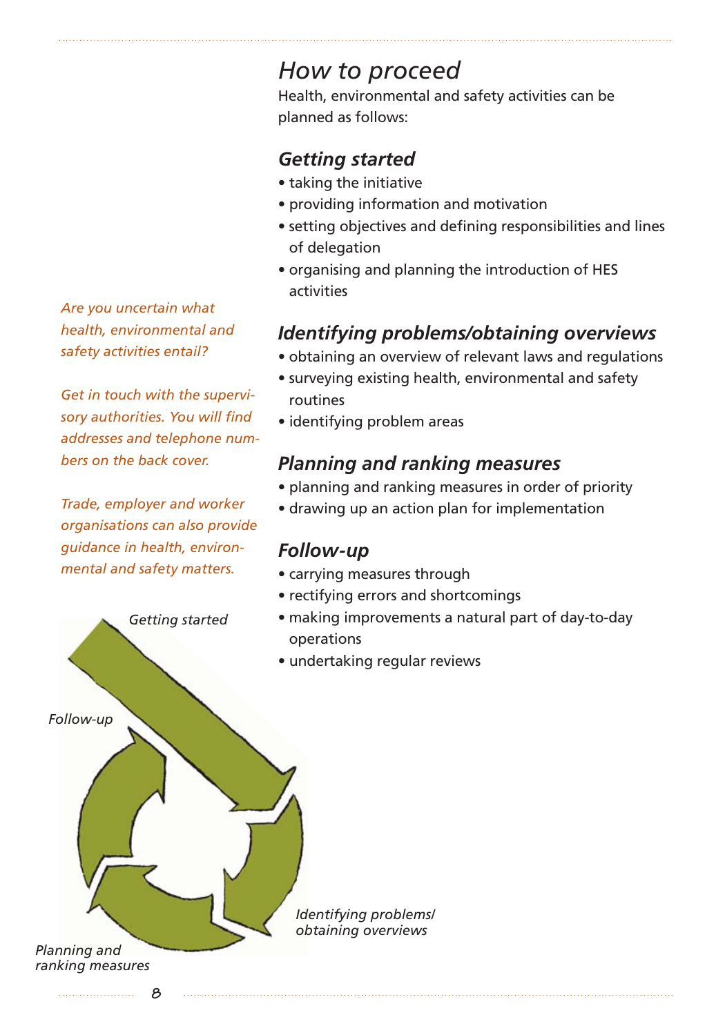*Are you uncertain what health, environmental and safety activities entail?*

*Get in touch with the supervisory authorities. You will find addresses and telephone numbers on the back cover.*

*Trade, employer and worker organisations can also provide guidance in health, environmental and safety matters.*

*Getting started*

## *How to proceed*

Health, environmental and safety activities can be planned as follows:

## *Getting started*

- taking the initiative
- providing information and motivation
- setting objectives and defining responsibilities and lines of delegation
- organising and planning the introduction of HES activities

## *Identifying problems/obtaining overviews*

- obtaining an overview of relevant laws and regulations
- surveying existing health, environmental and safety routines
- identifying problem areas

## *Planning and ranking measures*

- planning and ranking measures in order of priority
- drawing up an action plan for implementation

### *Follow-up*

- carrying measures through
- rectifying errors and shortcomings
- making improvements a natural part of day-to-day operations
- undertaking regular reviews

*Identifying problems/ obtaining overviews*

*Planning and ranking measures* 

*Follow-up*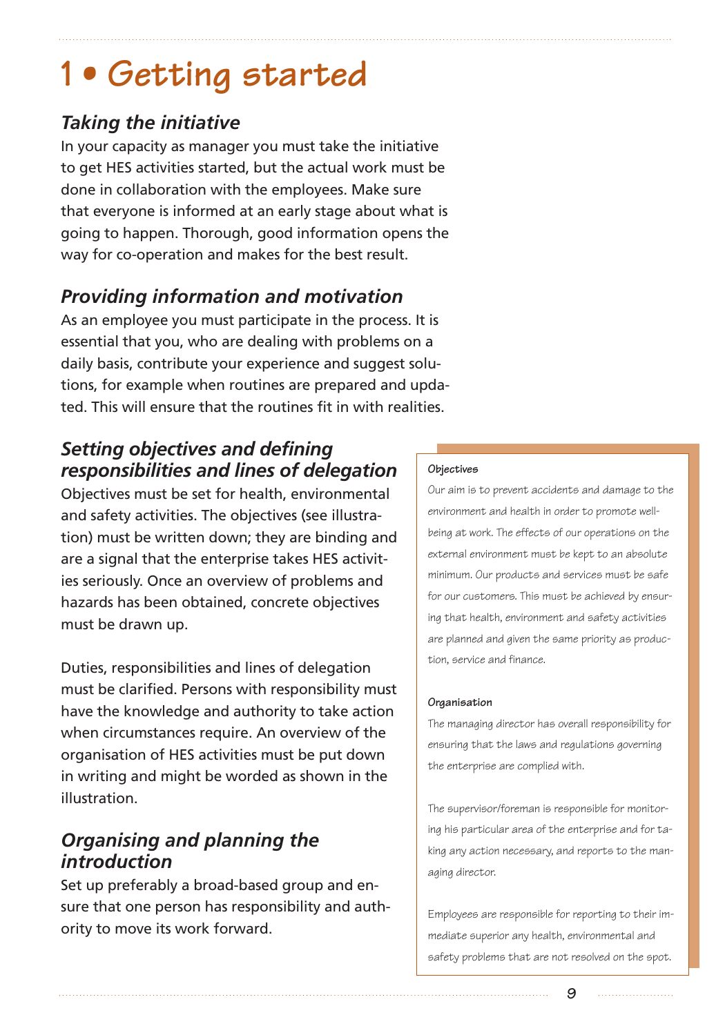# **1 • Getting started**

## *Taking the initiative*

In your capacity as manager you must take the initiative to get HES activities started, but the actual work must be done in collaboration with the employees. Make sure that everyone is informed at an early stage about what is going to happen. Thorough, good information opens the way for co-operation and makes for the best result.

## *Providing information and motivation*

As an employee you must participate in the process. It is essential that you, who are dealing with problems on a daily basis, contribute your experience and suggest solutions, for example when routines are prepared and updated. This will ensure that the routines fit in with realities.

## *Setting objectives and defining responsibilities and lines of delegation*

Objectives must be set for health, environmental and safety activities. The objectives (see illustration) must be written down; they are binding and are a signal that the enterprise takes HES activities seriously. Once an overview of problems and hazards has been obtained, concrete objectives must be drawn up.

Duties, responsibilities and lines of delegation must be clarified. Persons with responsibility must have the knowledge and authority to take action when circumstances require. An overview of the organisation of HES activities must be put down in writing and might be worded as shown in the illustration.

## *Organising and planning the introduction*

Set up preferably a broad-based group and ensure that one person has responsibility and authority to move its work forward.

#### **Objectives**

Our aim is to prevent accidents and damage to the environment and health in order to promote wellbeing at work. The effects of our operations on the external environment must be kept to an absolute minimum. Our products and services must be safe for our customers. This must be achieved by ensuring that health, environment and safety activities are planned and given the same priority as production, service and finance.

#### **Organisation**

The managing director has overall responsibility for ensuring that the laws and regulations governing the enterprise are complied with.

The supervisor/foreman is responsible for monitoring his particular area of the enterprise and for taking any action necessary, and reports to the managing director.

Employees are responsible for reporting to their immediate superior any health, environmental and safety problems that are not resolved on the spot.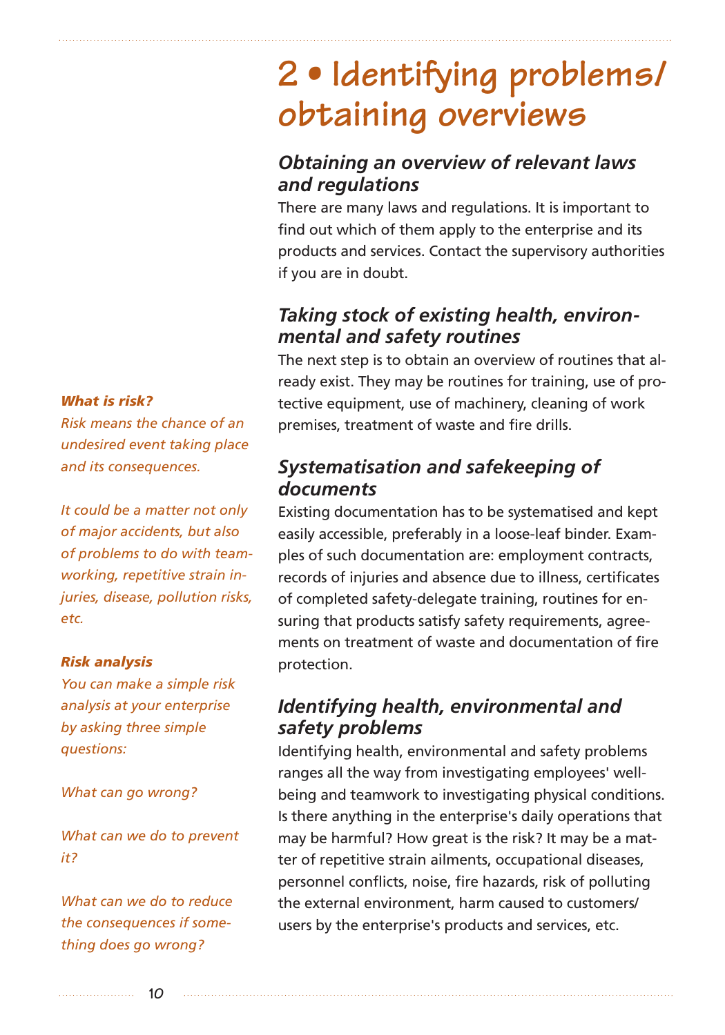# **2 • Identifying problems/ obtaining overviews**

## *Obtaining an overview of relevant laws and regulations*

There are many laws and regulations. It is important to find out which of them apply to the enterprise and its products and services. Contact the supervisory authorities if you are in doubt.

## *Taking stock of existing health, environmental and safety routines*

The next step is to obtain an overview of routines that already exist. They may be routines for training, use of protective equipment, use of machinery, cleaning of work premises, treatment of waste and fire drills.

## *Systematisation and safekeeping of documents*

Existing documentation has to be systematised and kept easily accessible, preferably in a loose-leaf binder. Examples of such documentation are: employment contracts, records of injuries and absence due to illness, certificates of completed safety-delegate training, routines for ensuring that products satisfy safety requirements, agreements on treatment of waste and documentation of fire protection.

## *Identifying health, environmental and safety problems*

Identifying health, environmental and safety problems ranges all the way from investigating employees' wellbeing and teamwork to investigating physical conditions. Is there anything in the enterprise's daily operations that may be harmful? How great is the risk? It may be a matter of repetitive strain ailments, occupational diseases, personnel conflicts, noise, fire hazards, risk of polluting the external environment, harm caused to customers/ users by the enterprise's products and services, etc.

*What is risk?*

*Risk means the chance of an undesired event taking place and its consequences.*

*It could be a matter not only of major accidents, but also of problems to do with teamworking, repetitive strain injuries, disease, pollution risks, etc.*

#### *Risk analysis*

*You can make a simple risk analysis at your enterprise by asking three simple questions:*

*What can go wrong?*

*What can we do to prevent it?*

*What can we do to reduce the consequences if something does go wrong?*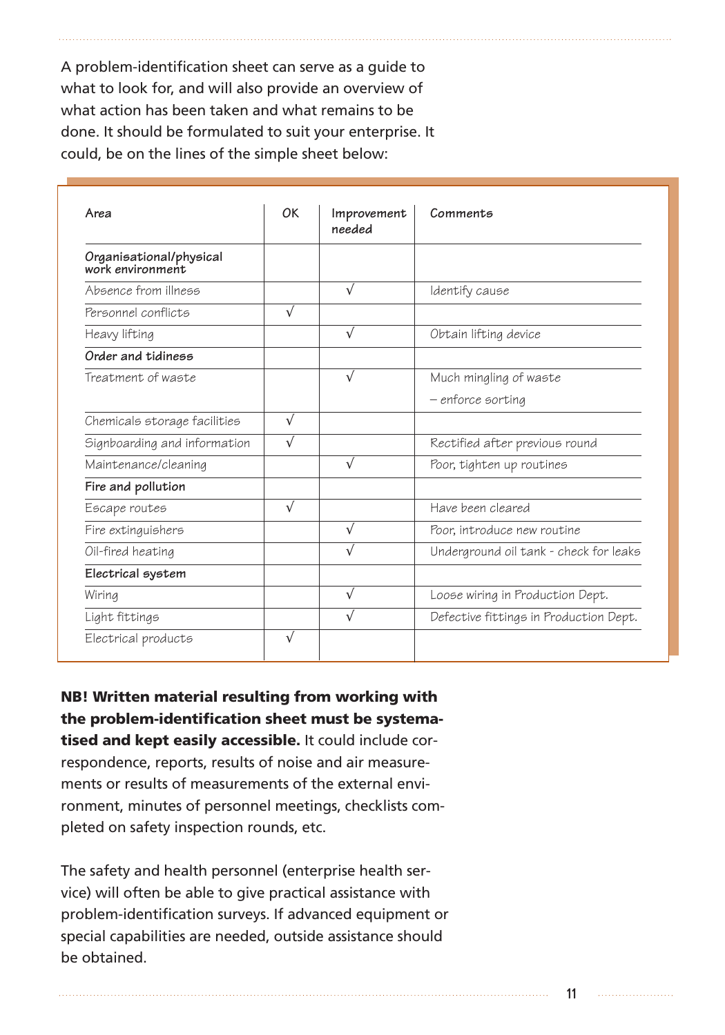A problem-identification sheet can serve as a guide to what to look for, and will also provide an overview of what action has been taken and what remains to be done. It should be formulated to suit your enterprise. It could, be on the lines of the simple sheet below:

| Area                                         | OK         | Improvement<br>needed | Comments                               |
|----------------------------------------------|------------|-----------------------|----------------------------------------|
| Organisational/physical<br>work environment. |            |                       |                                        |
| Absence from illness                         |            | $\sqrt{ }$            | Identify cause                         |
| Personnel conflicts                          | $\sqrt{ }$ |                       |                                        |
| Heavy lifting                                |            | $\sqrt{}$             | Obtain lifting device                  |
| Order and tidiness                           |            |                       |                                        |
| Treatment of waste                           |            | $\sqrt{}$             | Much mingling of waste                 |
|                                              |            |                       | – enforce sorting                      |
| Chemicals storage facilities                 | $\sqrt{ }$ |                       |                                        |
| Signboarding and information                 | $\sqrt{}$  |                       | Rectified after previous round         |
| Maintenance/cleaning                         |            | $\sqrt{}$             | Poor, tighten up routines              |
| Fire and pollution                           |            |                       |                                        |
| Escape routes                                | $\sqrt{}$  |                       | Have been cleared                      |
| Fire extinguishers                           |            | $\sqrt{}$             | Poor, introduce new routine            |
| Oil-fired heating                            |            | $\sqrt{}$             | Underground oil tank - check for leaks |
| Electrical system                            |            |                       |                                        |
| Wiring                                       |            | $\sqrt{ }$            | Loose wiring in Production Dept.       |
| Light fittings                               |            | $\sqrt{}$             | Defective fittings in Production Dept. |
| Electrical products                          | $\sqrt{ }$ |                       |                                        |

**NB! Written material resulting from working with the problem-identification sheet must be systematised and kept easily accessible.** It could include correspondence, reports, results of noise and air measurements or results of measurements of the external environment, minutes of personnel meetings, checklists completed on safety inspection rounds, etc.

The safety and health personnel (enterprise health service) will often be able to give practical assistance with problem-identification surveys. If advanced equipment or special capabilities are needed, outside assistance should be obtained.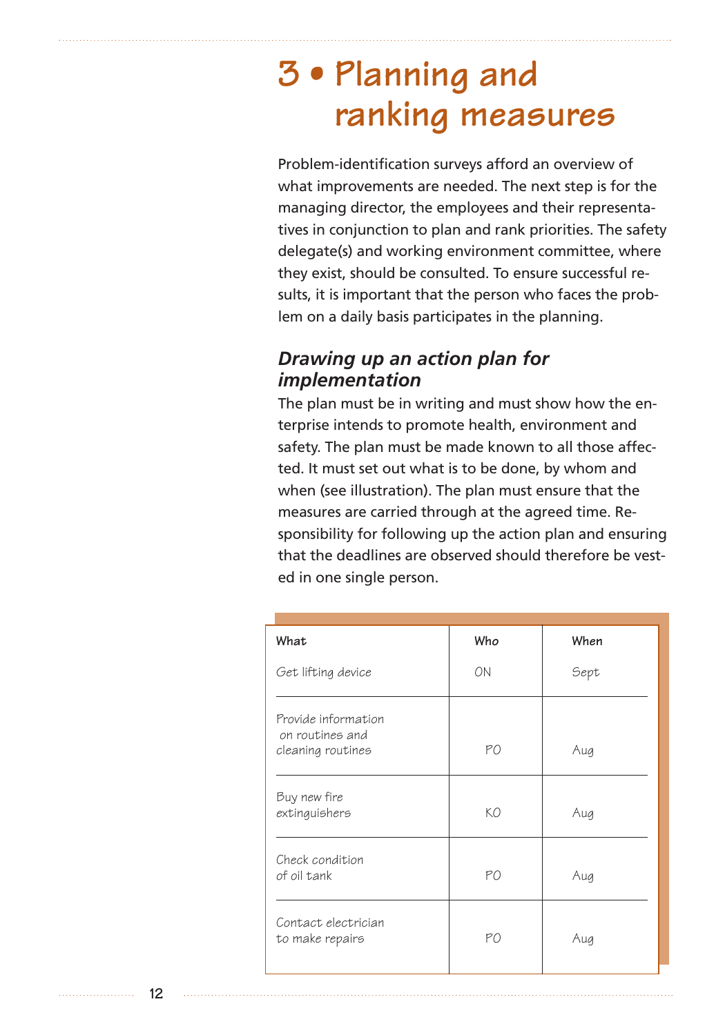# **3 • Planning and ranking measures**

Problem-identification surveys afford an overview of what improvements are needed. The next step is for the managing director, the employees and their representatives in conjunction to plan and rank priorities. The safety delegate(s) and working environment committee, where they exist, should be consulted. To ensure successful results, it is important that the person who faces the problem on a daily basis participates in the planning.

### *Drawing up an action plan for implementation*

The plan must be in writing and must show how the enterprise intends to promote health, environment and safety. The plan must be made known to all those affected. It must set out what is to be done, by whom and when (see illustration). The plan must ensure that the measures are carried through at the agreed time. Responsibility for following up the action plan and ensuring that the deadlines are observed should therefore be vested in one single person.

| What                                                        | Who | When |
|-------------------------------------------------------------|-----|------|
| Get lifting device                                          | ON  | Sept |
| Provide information<br>on routines and<br>cleaning routines | PO  | Aug  |
| Buy new fire<br>extinguishers                               | KΟ  | Aug  |
| Check condition<br>of oil tank                              | PO  | Aug  |
| Contact electrician<br>to make repairs                      | PO  | Aug  |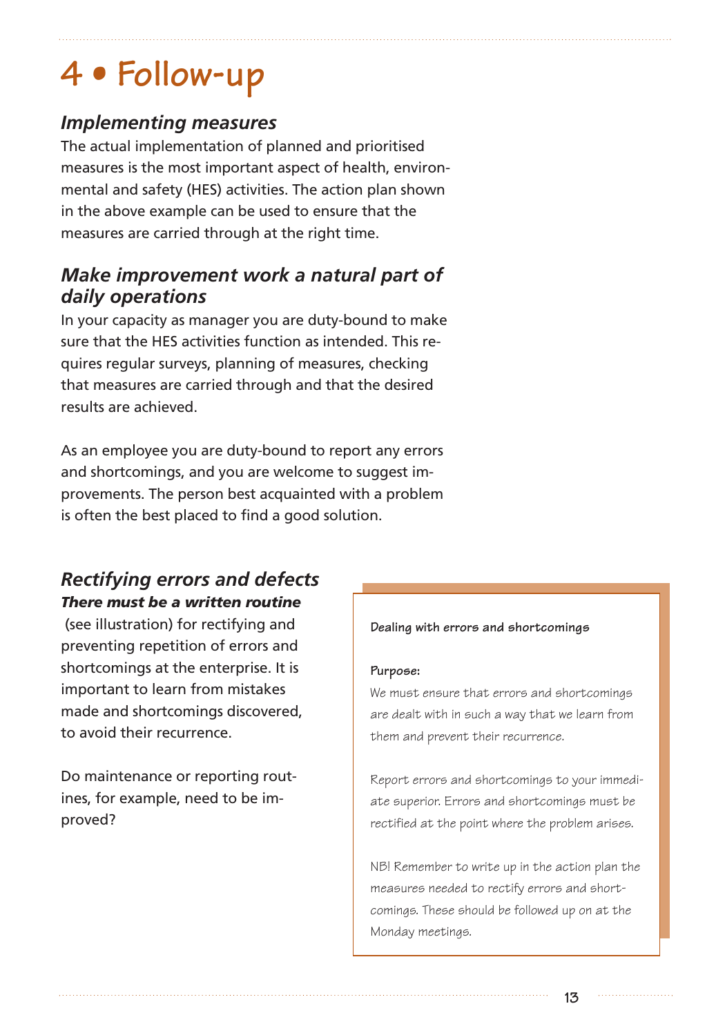# **4 • Follow-up**

## *Implementing measures*

The actual implementation of planned and prioritised measures is the most important aspect of health, environmental and safety (HES) activities. The action plan shown in the above example can be used to ensure that the measures are carried through at the right time.

## *Make improvement work a natural part of daily operations*

In your capacity as manager you are duty-bound to make sure that the HES activities function as intended. This requires regular surveys, planning of measures, checking that measures are carried through and that the desired results are achieved.

As an employee you are duty-bound to report any errors and shortcomings, and you are welcome to suggest improvements. The person best acquainted with a problem is often the best placed to find a good solution.

### *Rectifying errors and defects There must be a written routine*

(see illustration) for rectifying and preventing repetition of errors and shortcomings at the enterprise. It is important to learn from mistakes made and shortcomings discovered, to avoid their recurrence.

Do maintenance or reporting routines, for example, need to be improved?

#### **Dealing with errors and shortcomings**

#### **Purpose:**

We must ensure that errors and shortcomings are dealt with in such a way that we learn from them and prevent their recurrence.

Report errors and shortcomings to your immediate superior. Errors and shortcomings must be rectified at the point where the problem arises.

NB! Remember to write up in the action plan the measures needed to rectify errors and shortcomings. These should be followed up on at the Monday meetings.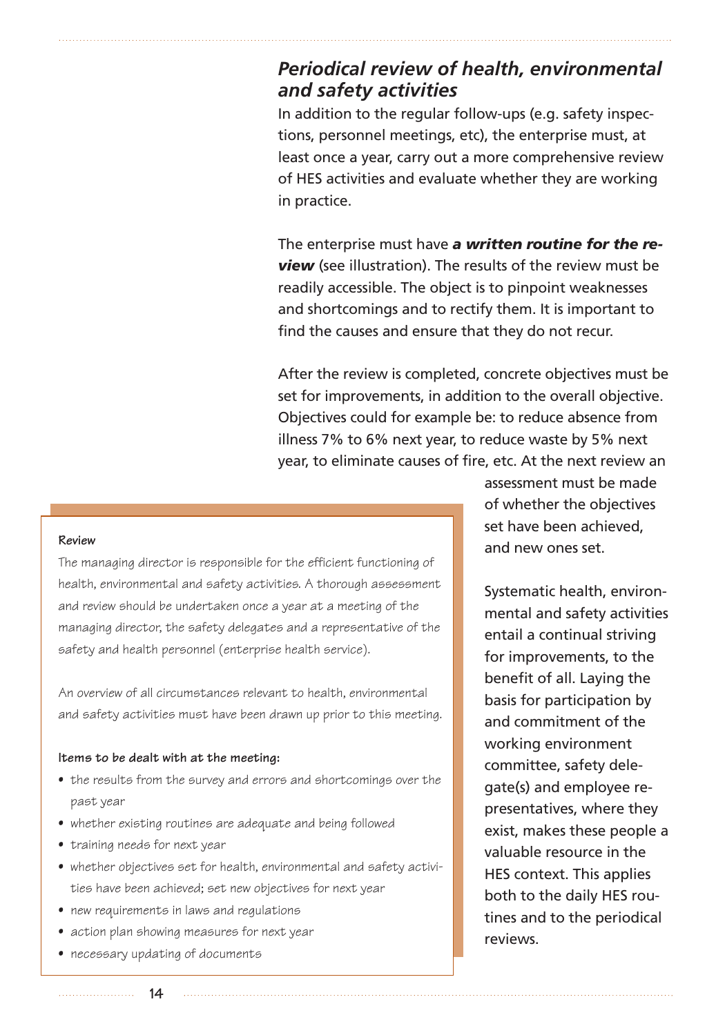### *Periodical review of health, environmental and safety activities*

In addition to the regular follow-ups (e.g. safety inspections, personnel meetings, etc), the enterprise must, at least once a year, carry out a more comprehensive review of HES activities and evaluate whether they are working in practice.

The enterprise must have *a written routine for the review* (see illustration). The results of the review must be readily accessible. The object is to pinpoint weaknesses and shortcomings and to rectify them. It is important to find the causes and ensure that they do not recur.

After the review is completed, concrete objectives must be set for improvements, in addition to the overall objective. Objectives could for example be: to reduce absence from illness 7% to 6% next year, to reduce waste by 5% next year, to eliminate causes of fire, etc. At the next review an

#### **Review**

The managing director is responsible for the efficient functioning of health, environmental and safety activities. A thorough assessment and review should be undertaken once a year at a meeting of the managing director, the safety delegates and a representative of the safety and health personnel (enterprise health service).

An overview of all circumstances relevant to health, environmental and safety activities must have been drawn up prior to this meeting.

#### **Items to be dealt with at the meeting:**

- the results from the survey and errors and shortcomings over the past year
- whether existing routines are adequate and being followed
- training needs for next year
- whether objectives set for health, environmental and safety activities have been achieved; set new objectives for next year
- new requirements in laws and requiations
- action plan showing measures for next year
- necessary updating of documents

assessment must be made of whether the objectives set have been achieved, and new ones set.

Systematic health, environmental and safety activities entail a continual striving for improvements, to the benefit of all. Laying the basis for participation by and commitment of the working environment committee, safety delegate(s) and employee representatives, where they exist, makes these people a valuable resource in the HES context. This applies both to the daily HES routines and to the periodical reviews.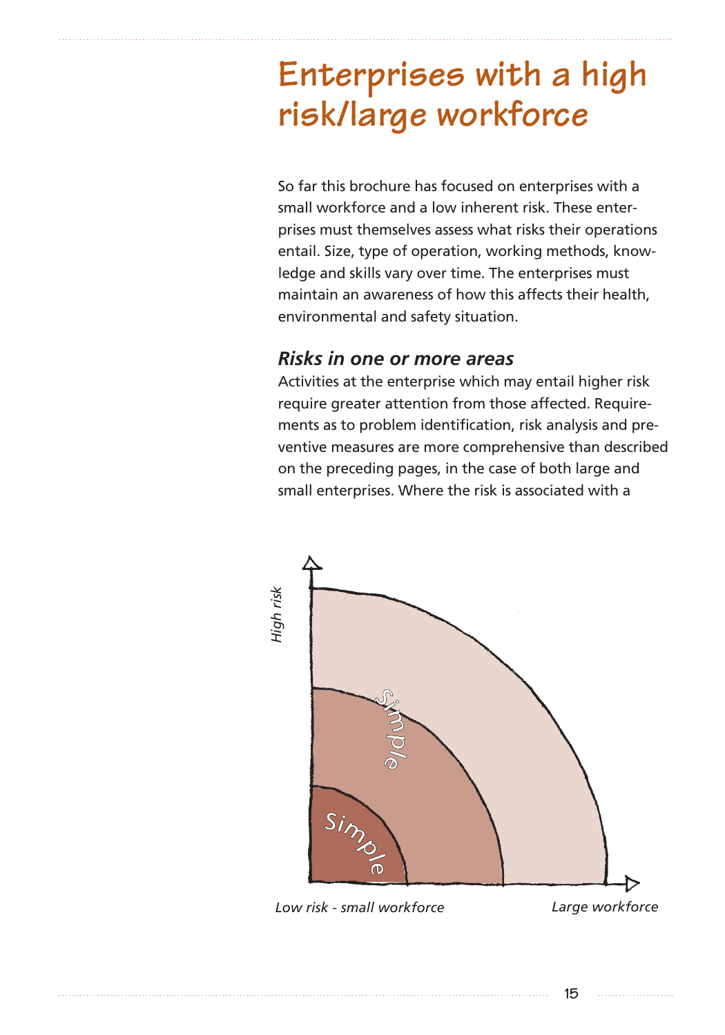# **Enterprises with a high risk/large workforce**

So far this brochure has focused on enterprises with a small workforce and a low inherent risk. These enterprises must themselves assess what risks their operations entail. Size, type of operation, working methods, knowledge and skills vary over time. The enterprises must maintain an awareness of how this affects their health, environmental and safety situation.

### *Risks in one or more areas*

Activities at the enterprise which may entail higher risk require greater attention from those affected. Requirements as to problem identification, risk analysis and preventive measures are more comprehensive than described on the preceding pages, in the case of both large and small enterprises. Where the risk is associated with a

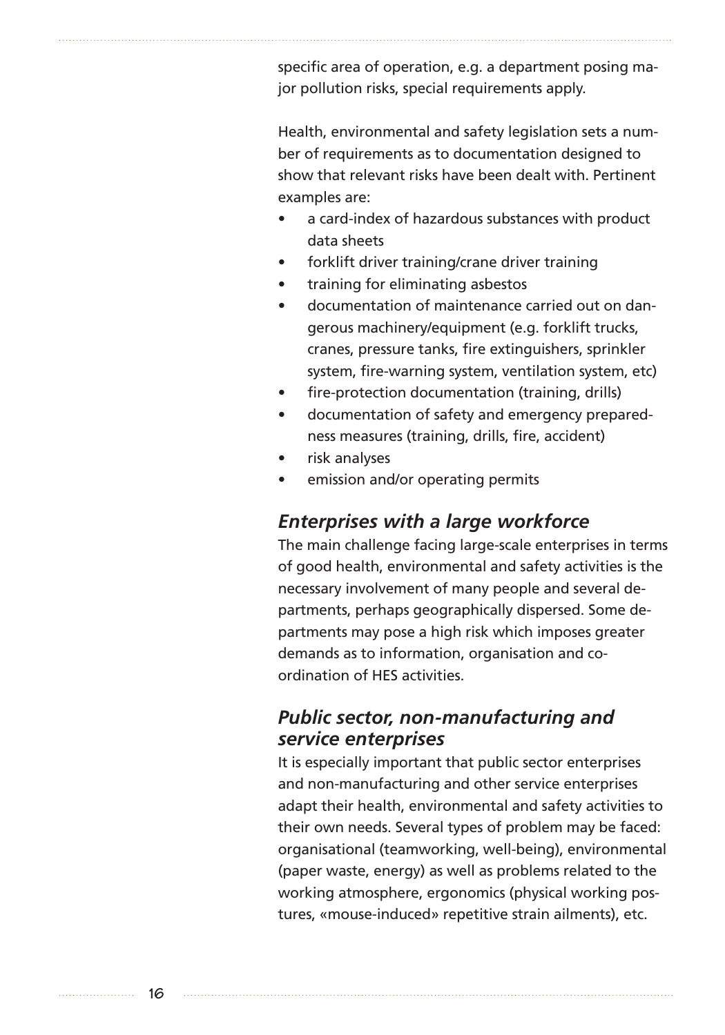specific area of operation, e.g. a department posing major pollution risks, special requirements apply.

Health, environmental and safety legislation sets a number of requirements as to documentation designed to show that relevant risks have been dealt with. Pertinent examples are:

- a card-index of hazardous substances with product data sheets
- forklift driver training/crane driver training
- training for eliminating asbestos
- documentation of maintenance carried out on dangerous machinery/equipment (e.g. forklift trucks, cranes, pressure tanks, fire extinguishers, sprinkler system, fire-warning system, ventilation system, etc)
- fire-protection documentation (training, drills)
- documentation of safety and emergency preparedness measures (training, drills, fire, accident)
- risk analyses
- emission and/or operating permits

### *Enterprises with a large workforce*

The main challenge facing large-scale enterprises in terms of good health, environmental and safety activities is the necessary involvement of many people and several departments, perhaps geographically dispersed. Some departments may pose a high risk which imposes greater demands as to information, organisation and coordination of HES activities.

### *Public sector, non-manufacturing and service enterprises*

It is especially important that public sector enterprises and non-manufacturing and other service enterprises adapt their health, environmental and safety activities to their own needs. Several types of problem may be faced: organisational (teamworking, well-being), environmental (paper waste, energy) as well as problems related to the working atmosphere, ergonomics (physical working postures, «mouse-induced» repetitive strain ailments), etc.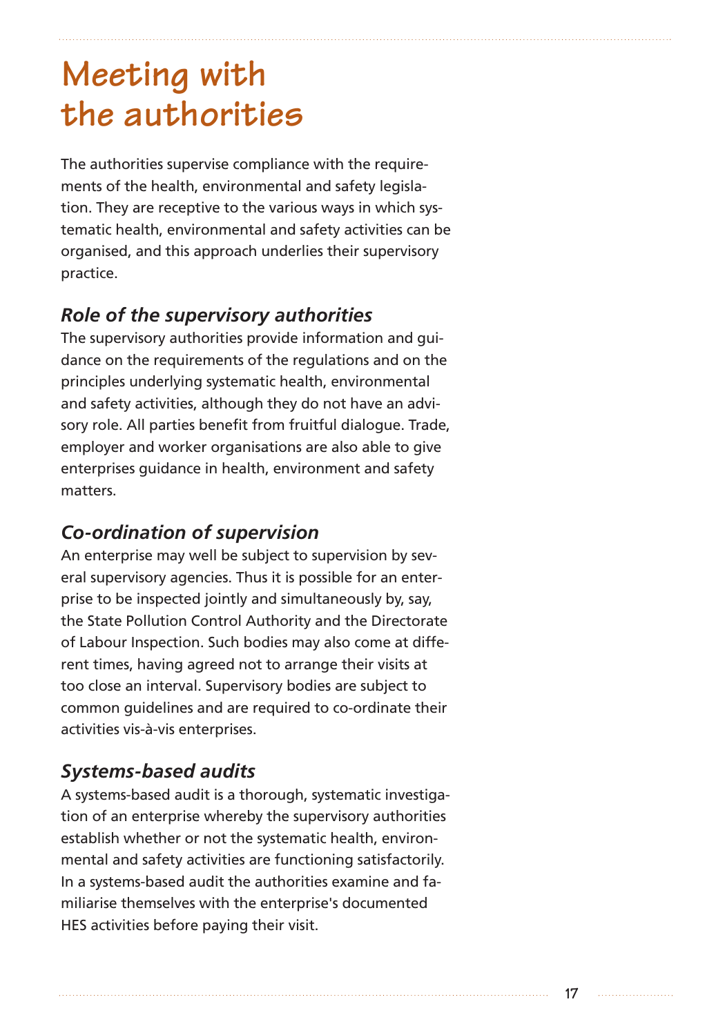# **Meeting with the authorities**

The authorities supervise compliance with the requirements of the health, environmental and safety legislation. They are receptive to the various ways in which systematic health, environmental and safety activities can be organised, and this approach underlies their supervisory practice.

## *Role of the supervisory authorities*

The supervisory authorities provide information and guidance on the requirements of the regulations and on the principles underlying systematic health, environmental and safety activities, although they do not have an advisory role. All parties benefit from fruitful dialogue. Trade, employer and worker organisations are also able to give enterprises guidance in health, environment and safety matters.

## *Co-ordination of supervision*

An enterprise may well be subject to supervision by several supervisory agencies. Thus it is possible for an enterprise to be inspected jointly and simultaneously by, say, the State Pollution Control Authority and the Directorate of Labour Inspection. Such bodies may also come at different times, having agreed not to arrange their visits at too close an interval. Supervisory bodies are subject to common guidelines and are required to co-ordinate their activities vis-à-vis enterprises.

## *Systems-based audits*

A systems-based audit is a thorough, systematic investigation of an enterprise whereby the supervisory authorities establish whether or not the systematic health, environmental and safety activities are functioning satisfactorily. In a systems-based audit the authorities examine and familiarise themselves with the enterprise's documented HES activities before paying their visit.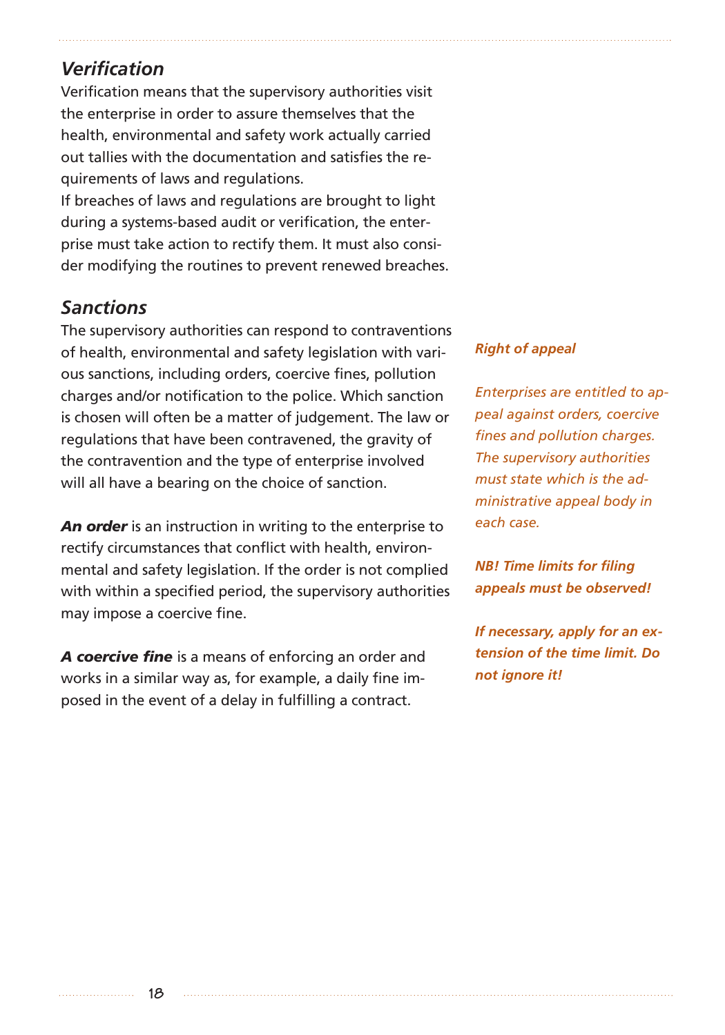### *Verification*

Verification means that the supervisory authorities visit the enterprise in order to assure themselves that the health, environmental and safety work actually carried out tallies with the documentation and satisfies the requirements of laws and regulations.

If breaches of laws and regulations are brought to light during a systems-based audit or verification, the enterprise must take action to rectify them. It must also consider modifying the routines to prevent renewed breaches.

### *Sanctions*

The supervisory authorities can respond to contraventions of health, environmental and safety legislation with various sanctions, including orders, coercive fines, pollution charges and/or notification to the police. Which sanction is chosen will often be a matter of judgement. The law or regulations that have been contravened, the gravity of the contravention and the type of enterprise involved will all have a bearing on the choice of sanction.

*An order* is an instruction in writing to the enterprise to rectify circumstances that conflict with health, environmental and safety legislation. If the order is not complied with within a specified period, the supervisory authorities may impose a coercive fine.

*A coercive fine* is a means of enforcing an order and works in a similar way as, for example, a daily fine imposed in the event of a delay in fulfilling a contract.

#### *Right of appeal*

*Enterprises are entitled to appeal against orders, coercive fines and pollution charges. The supervisory authorities must state which is the administrative appeal body in each case.*

*NB! Time limits for filing appeals must be observed!*

*If necessary, apply for an extension of the time limit. Do not ignore it!*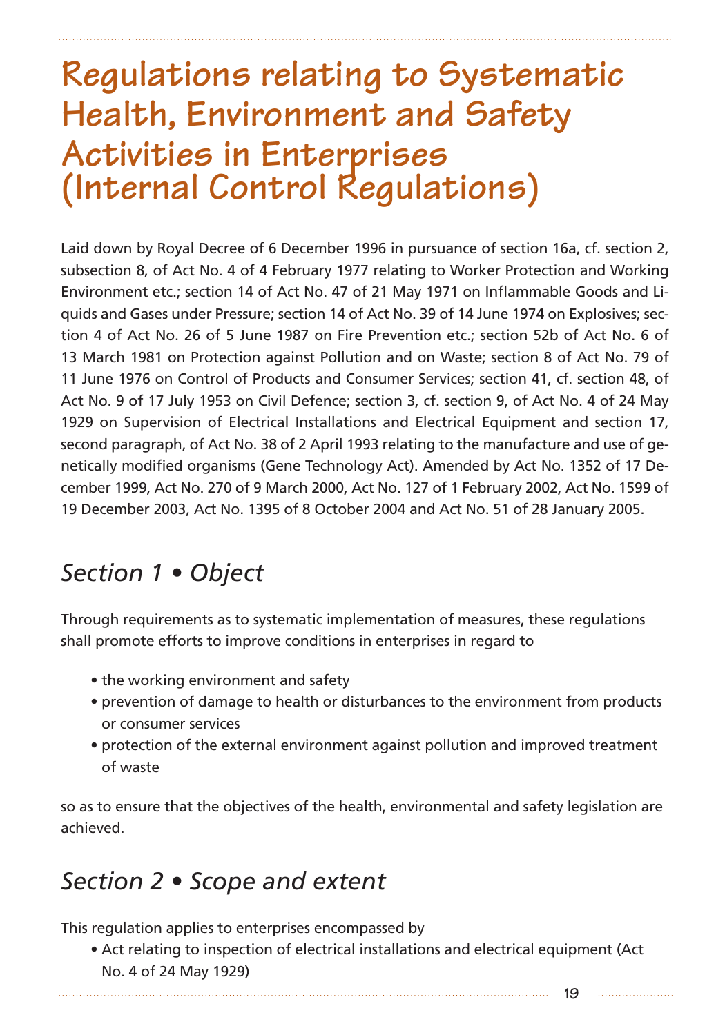# **Regulations relating to Systematic Health, Environment and Safety Activities in Enterprises (Internal Control Regulations)**

Laid down by Royal Decree of 6 December 1996 in pursuance of section 16a, cf. section 2, subsection 8, of Act No. 4 of 4 February 1977 relating to Worker Protection and Working Environment etc.; section 14 of Act No. 47 of 21 May 1971 on Inflammable Goods and Liquids and Gases under Pressure; section 14 of Act No. 39 of 14 June 1974 on Explosives; section 4 of Act No. 26 of 5 June 1987 on Fire Prevention etc.; section 52b of Act No. 6 of 13 March 1981 on Protection against Pollution and on Waste; section 8 of Act No. 79 of 11 June 1976 on Control of Products and Consumer Services; section 41, cf. section 48, of Act No. 9 of 17 July 1953 on Civil Defence; section 3, cf. section 9, of Act No. 4 of 24 May 1929 on Supervision of Electrical Installations and Electrical Equipment and section 17, second paragraph, of Act No. 38 of 2 April 1993 relating to the manufacture and use of genetically modified organisms (Gene Technology Act). Amended by Act No. 1352 of 17 December 1999, Act No. 270 of 9 March 2000, Act No. 127 of 1 February 2002, Act No. 1599 of 19 December 2003, Act No. 1395 of 8 October 2004 and Act No. 51 of 28 January 2005.

## *Section 1 • Object*

Through requirements as to systematic implementation of measures, these regulations shall promote efforts to improve conditions in enterprises in regard to

- the working environment and safety
- prevention of damage to health or disturbances to the environment from products or consumer services
- protection of the external environment against pollution and improved treatment of waste

so as to ensure that the objectives of the health, environmental and safety legislation are achieved.

## *Section 2 • Scope and extent*

This regulation applies to enterprises encompassed by

• Act relating to inspection of electrical installations and electrical equipment (Act No. 4 of 24 May 1929)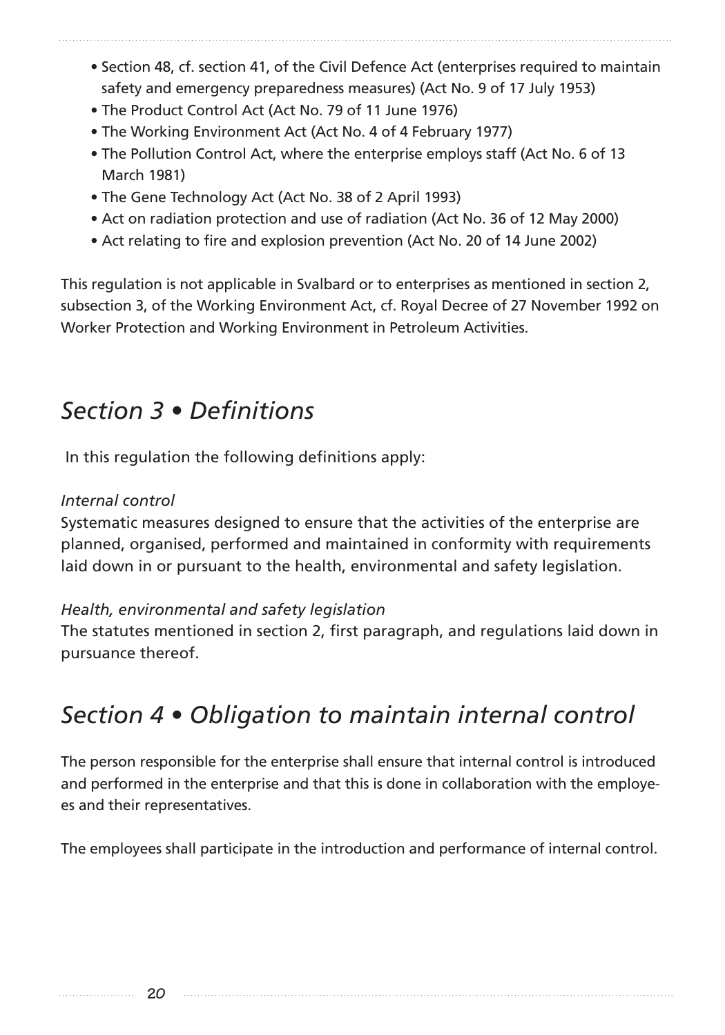- Section 48, cf. section 41, of the Civil Defence Act (enterprises required to maintain safety and emergency preparedness measures) (Act No. 9 of 17 July 1953)
- The Product Control Act (Act No. 79 of 11 June 1976)
- The Working Environment Act (Act No. 4 of 4 February 1977)
- The Pollution Control Act, where the enterprise employs staff (Act No. 6 of 13 March 1981)
- The Gene Technology Act (Act No. 38 of 2 April 1993)
- Act on radiation protection and use of radiation (Act No. 36 of 12 May 2000)
- Act relating to fire and explosion prevention (Act No. 20 of 14 June 2002)

This regulation is not applicable in Svalbard or to enterprises as mentioned in section 2, subsection 3, of the Working Environment Act, cf. Royal Decree of 27 November 1992 on Worker Protection and Working Environment in Petroleum Activities.

## *Section 3 • Definitions*

In this regulation the following definitions apply:

### *Internal control*

Systematic measures designed to ensure that the activities of the enterprise are planned, organised, performed and maintained in conformity with requirements laid down in or pursuant to the health, environmental and safety legislation.

### *Health, environmental and safety legislation*

The statutes mentioned in section 2, first paragraph, and regulations laid down in pursuance thereof.

# *Section 4 • Obligation to maintain internal control*

The person responsible for the enterprise shall ensure that internal control is introduced and performed in the enterprise and that this is done in collaboration with the employees and their representatives.

The employees shall participate in the introduction and performance of internal control.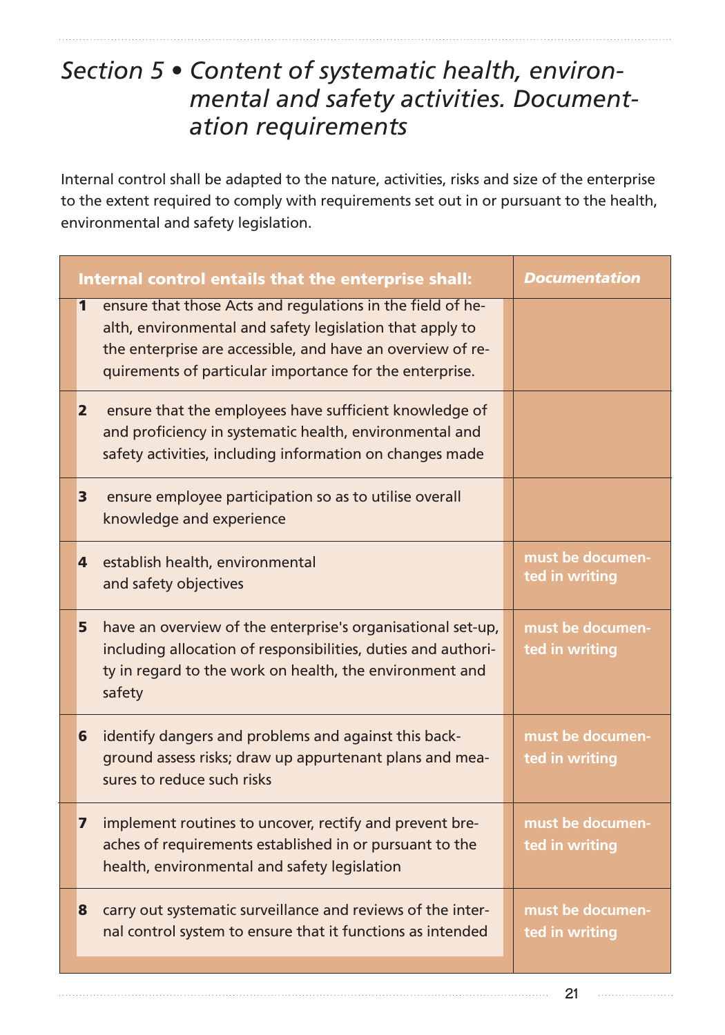## *Section 5 • Content of systematic health, environmental and safety activities. Documentation requirements*

Internal control shall be adapted to the nature, activities, risks and size of the enterprise to the extent required to comply with requirements set out in or pursuant to the health, environmental and safety legislation.

| Internal control entails that the enterprise shall:                                                                                                                                                                                                  | <b>Documentation</b>               |
|------------------------------------------------------------------------------------------------------------------------------------------------------------------------------------------------------------------------------------------------------|------------------------------------|
| ensure that those Acts and regulations in the field of he-<br>1<br>alth, environmental and safety legislation that apply to<br>the enterprise are accessible, and have an overview of re-<br>quirements of particular importance for the enterprise. |                                    |
| ensure that the employees have sufficient knowledge of<br>$\mathbf{2}$<br>and proficiency in systematic health, environmental and<br>safety activities, including information on changes made                                                        |                                    |
| ensure employee participation so as to utilise overall<br>3<br>knowledge and experience                                                                                                                                                              |                                    |
| establish health, environmental<br>4<br>and safety objectives                                                                                                                                                                                        | must be documen-<br>ted in writing |
| have an overview of the enterprise's organisational set-up,<br>5<br>including allocation of responsibilities, duties and authori-<br>ty in regard to the work on health, the environment and<br>safety                                               | must be documen-<br>ted in writing |
| identify dangers and problems and against this back-<br>6<br>ground assess risks; draw up appurtenant plans and mea-<br>sures to reduce such risks                                                                                                   | must be documen-<br>ted in writing |
| implement routines to uncover, rectify and prevent bre-<br>7<br>aches of requirements established in or pursuant to the<br>health, environmental and safety legislation                                                                              | must be documen-<br>ted in writing |
| carry out systematic surveillance and reviews of the inter-<br>8<br>nal control system to ensure that it functions as intended                                                                                                                       | must be documen-<br>ted in writing |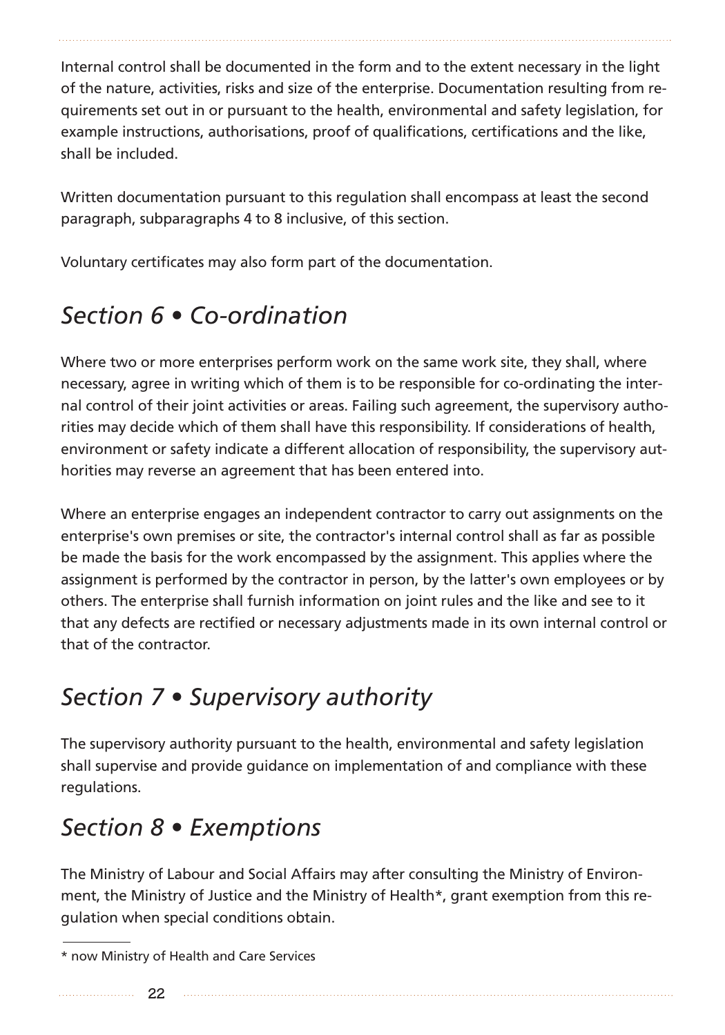Internal control shall be documented in the form and to the extent necessary in the light of the nature, activities, risks and size of the enterprise. Documentation resulting from requirements set out in or pursuant to the health, environmental and safety legislation, for example instructions, authorisations, proof of qualifications, certifications and the like, shall be included.

Written documentation pursuant to this regulation shall encompass at least the second paragraph, subparagraphs 4 to 8 inclusive, of this section.

Voluntary certificates may also form part of the documentation.

# *Section 6 • Co-ordination*

Where two or more enterprises perform work on the same work site, they shall, where necessary, agree in writing which of them is to be responsible for co-ordinating the internal control of their joint activities or areas. Failing such agreement, the supervisory authorities may decide which of them shall have this responsibility. If considerations of health, environment or safety indicate a different allocation of responsibility, the supervisory authorities may reverse an agreement that has been entered into.

Where an enterprise engages an independent contractor to carry out assignments on the enterprise's own premises or site, the contractor's internal control shall as far as possible be made the basis for the work encompassed by the assignment. This applies where the assignment is performed by the contractor in person, by the latter's own employees or by others. The enterprise shall furnish information on joint rules and the like and see to it that any defects are rectified or necessary adjustments made in its own internal control or that of the contractor.

# *Section 7 • Supervisory authority*

The supervisory authority pursuant to the health, environmental and safety legislation shall supervise and provide guidance on implementation of and compliance with these regulations.

# *Section 8 • Exemptions*

The Ministry of Labour and Social Affairs may after consulting the Ministry of Environment, the Ministry of Justice and the Ministry of Health\*, grant exemption from this regulation when special conditions obtain.

<sup>\*</sup> now Ministry of Health and Care Services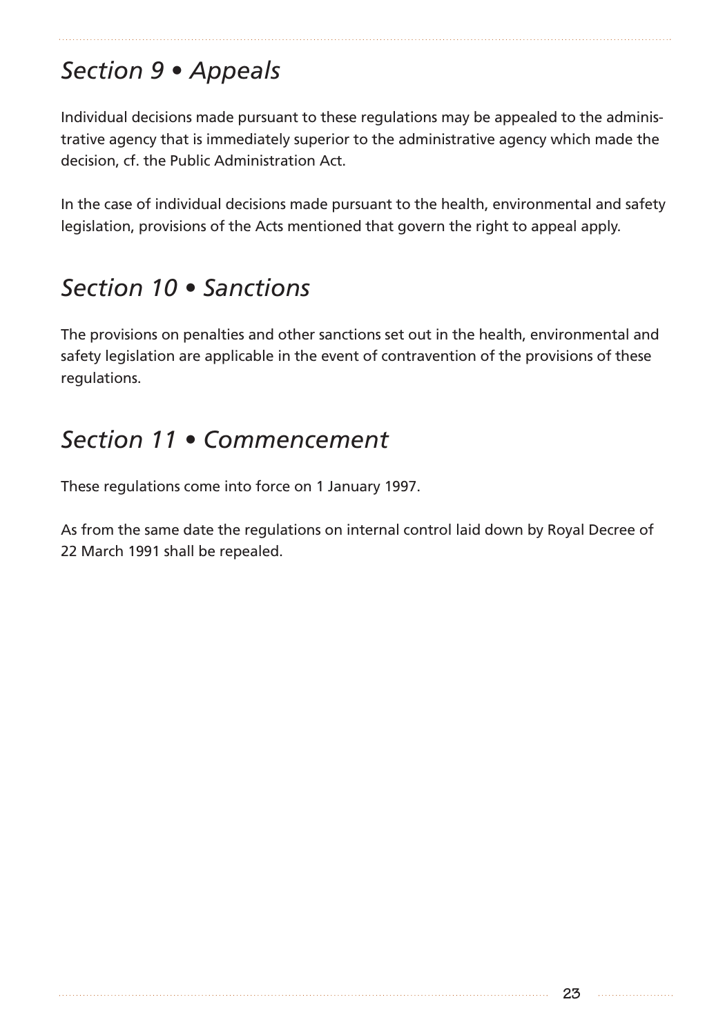# *Section 9 • Appeals*

Individual decisions made pursuant to these regulations may be appealed to the administrative agency that is immediately superior to the administrative agency which made the decision, cf. the Public Administration Act.

In the case of individual decisions made pursuant to the health, environmental and safety legislation, provisions of the Acts mentioned that govern the right to appeal apply.

## *Section 10 • Sanctions*

The provisions on penalties and other sanctions set out in the health, environmental and safety legislation are applicable in the event of contravention of the provisions of these regulations.

## *Section 11 • Commencement*

These regulations come into force on 1 January 1997.

As from the same date the regulations on internal control laid down by Royal Decree of 22 March 1991 shall be repealed.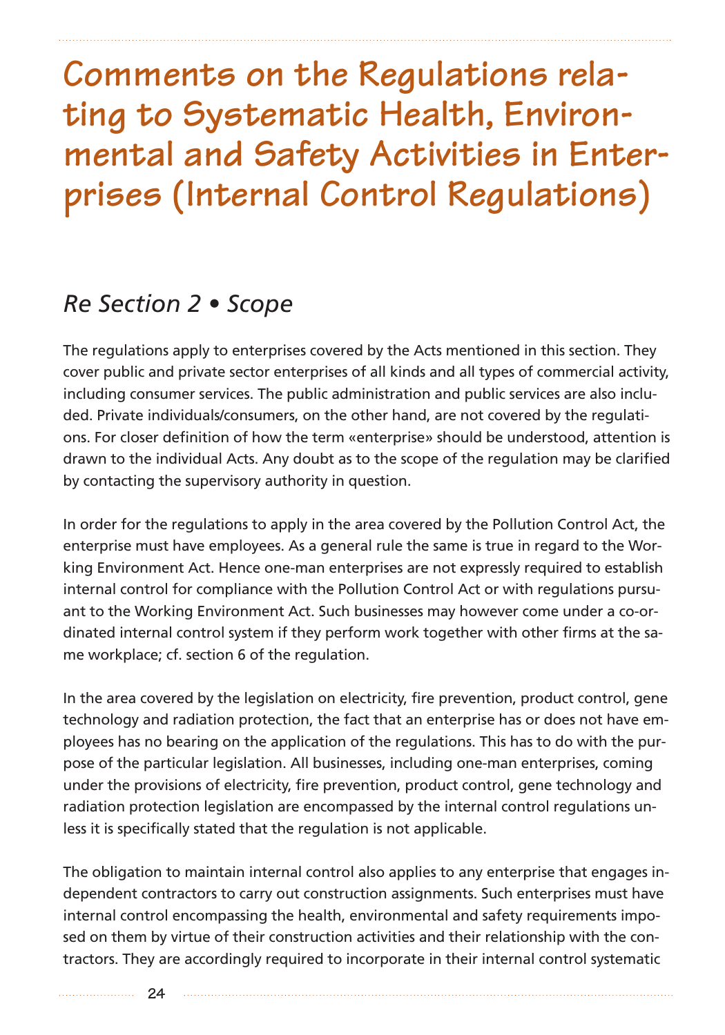# **Comments on the Regulations relating to Systematic Health, Environmental and Safety Activities in Enterprises (Internal Control Regulations)**

## *Re Section 2 • Scope*

The regulations apply to enterprises covered by the Acts mentioned in this section. They cover public and private sector enterprises of all kinds and all types of commercial activity, including consumer services. The public administration and public services are also included. Private individuals/consumers, on the other hand, are not covered by the regulations. For closer definition of how the term «enterprise» should be understood, attention is drawn to the individual Acts. Any doubt as to the scope of the regulation may be clarified by contacting the supervisory authority in question.

In order for the regulations to apply in the area covered by the Pollution Control Act, the enterprise must have employees. As a general rule the same is true in regard to the Working Environment Act. Hence one-man enterprises are not expressly required to establish internal control for compliance with the Pollution Control Act or with regulations pursuant to the Working Environment Act. Such businesses may however come under a co-ordinated internal control system if they perform work together with other firms at the same workplace; cf. section 6 of the regulation.

In the area covered by the legislation on electricity, fire prevention, product control, gene technology and radiation protection, the fact that an enterprise has or does not have employees has no bearing on the application of the regulations. This has to do with the purpose of the particular legislation. All businesses, including one-man enterprises, coming under the provisions of electricity, fire prevention, product control, gene technology and radiation protection legislation are encompassed by the internal control regulations unless it is specifically stated that the regulation is not applicable.

The obligation to maintain internal control also applies to any enterprise that engages independent contractors to carry out construction assignments. Such enterprises must have internal control encompassing the health, environmental and safety requirements imposed on them by virtue of their construction activities and their relationship with the contractors. They are accordingly required to incorporate in their internal control systematic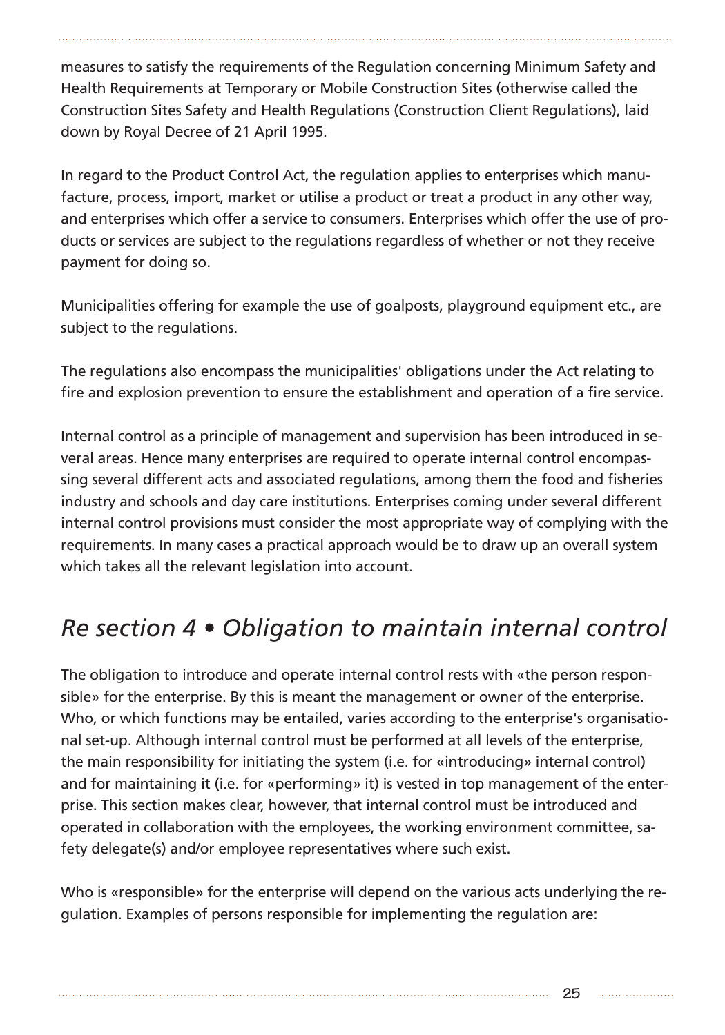measures to satisfy the requirements of the Regulation concerning Minimum Safety and Health Requirements at Temporary or Mobile Construction Sites (otherwise called the Construction Sites Safety and Health Regulations (Construction Client Regulations), laid down by Royal Decree of 21 April 1995.

In regard to the Product Control Act, the regulation applies to enterprises which manufacture, process, import, market or utilise a product or treat a product in any other way, and enterprises which offer a service to consumers. Enterprises which offer the use of products or services are subject to the regulations regardless of whether or not they receive payment for doing so.

Municipalities offering for example the use of goalposts, playground equipment etc., are subject to the regulations.

The regulations also encompass the municipalities' obligations under the Act relating to fire and explosion prevention to ensure the establishment and operation of a fire service.

Internal control as a principle of management and supervision has been introduced in several areas. Hence many enterprises are required to operate internal control encompassing several different acts and associated regulations, among them the food and fisheries industry and schools and day care institutions. Enterprises coming under several different internal control provisions must consider the most appropriate way of complying with the requirements. In many cases a practical approach would be to draw up an overall system which takes all the relevant legislation into account.

# *Re section 4 • Obligation to maintain internal control*

The obligation to introduce and operate internal control rests with «the person responsible» for the enterprise. By this is meant the management or owner of the enterprise. Who, or which functions may be entailed, varies according to the enterprise's organisational set-up. Although internal control must be performed at all levels of the enterprise, the main responsibility for initiating the system (i.e. for «introducing» internal control) and for maintaining it (i.e. for «performing» it) is vested in top management of the enterprise. This section makes clear, however, that internal control must be introduced and operated in collaboration with the employees, the working environment committee, safety delegate(s) and/or employee representatives where such exist.

Who is «responsible» for the enterprise will depend on the various acts underlying the regulation. Examples of persons responsible for implementing the regulation are: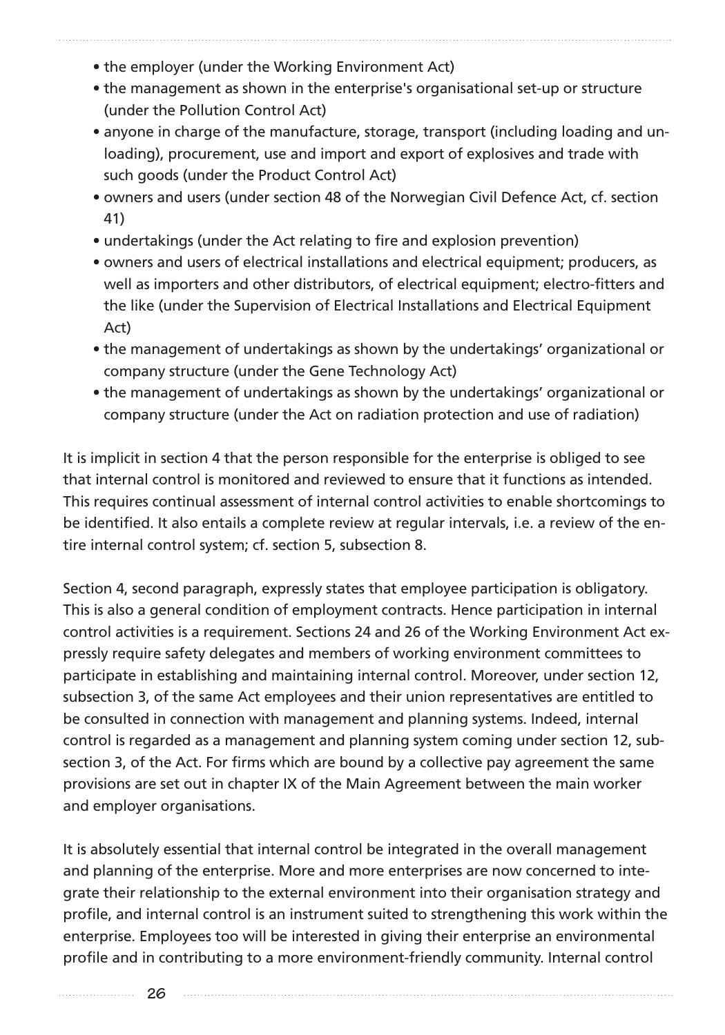- the employer (under the Working Environment Act)
- the management as shown in the enterprise's organisational set-up or structure (under the Pollution Control Act)
- anyone in charge of the manufacture, storage, transport (including loading and unloading), procurement, use and import and export of explosives and trade with such goods (under the Product Control Act)
- owners and users (under section 48 of the Norwegian Civil Defence Act, cf. section 41)
- undertakings (under the Act relating to fire and explosion prevention)
- owners and users of electrical installations and electrical equipment; producers, as well as importers and other distributors, of electrical equipment; electro-fitters and the like (under the Supervision of Electrical Installations and Electrical Equipment Act)
- the management of undertakings as shown by the undertakings' organizational or company structure (under the Gene Technology Act)
- the management of undertakings as shown by the undertakings' organizational or company structure (under the Act on radiation protection and use of radiation)

It is implicit in section 4 that the person responsible for the enterprise is obliged to see that internal control is monitored and reviewed to ensure that it functions as intended. This requires continual assessment of internal control activities to enable shortcomings to be identified. It also entails a complete review at regular intervals, i.e. a review of the entire internal control system; cf. section 5, subsection 8.

Section 4, second paragraph, expressly states that employee participation is obligatory. This is also a general condition of employment contracts. Hence participation in internal control activities is a requirement. Sections 24 and 26 of the Working Environment Act expressly require safety delegates and members of working environment committees to participate in establishing and maintaining internal control. Moreover, under section 12, subsection 3, of the same Act employees and their union representatives are entitled to be consulted in connection with management and planning systems. Indeed, internal control is regarded as a management and planning system coming under section 12, subsection 3, of the Act. For firms which are bound by a collective pay agreement the same provisions are set out in chapter IX of the Main Agreement between the main worker and employer organisations.

It is absolutely essential that internal control be integrated in the overall management and planning of the enterprise. More and more enterprises are now concerned to integrate their relationship to the external environment into their organisation strategy and profile, and internal control is an instrument suited to strengthening this work within the enterprise. Employees too will be interested in giving their enterprise an environmental profile and in contributing to a more environment-friendly community. Internal control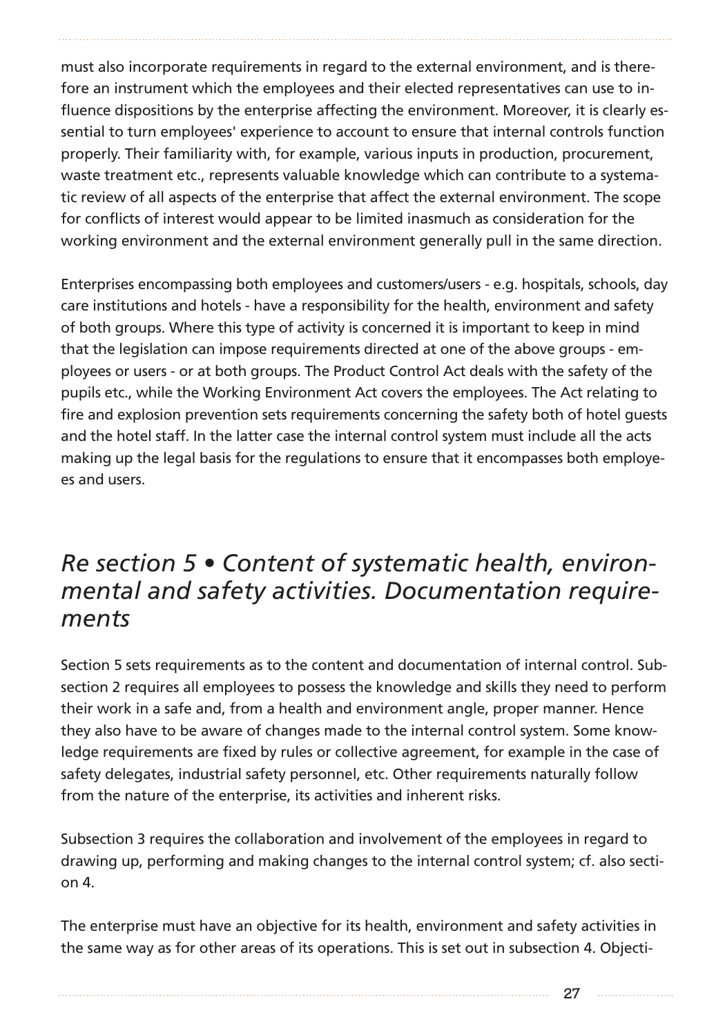must also incorporate requirements in regard to the external environment, and is therefore an instrument which the employees and their elected representatives can use to influence dispositions by the enterprise affecting the environment. Moreover, it is clearly essential to turn employees' experience to account to ensure that internal controls function properly. Their familiarity with, for example, various inputs in production, procurement, waste treatment etc., represents valuable knowledge which can contribute to a systematic review of all aspects of the enterprise that affect the external environment. The scope for conflicts of interest would appear to be limited inasmuch as consideration for the working environment and the external environment generally pull in the same direction.

Enterprises encompassing both employees and customers/users - e.g. hospitals, schools, day care institutions and hotels - have a responsibility for the health, environment and safety of both groups. Where this type of activity is concerned it is important to keep in mind that the legislation can impose requirements directed at one of the above groups - employees or users - or at both groups. The Product Control Act deals with the safety of the pupils etc., while the Working Environment Act covers the employees. The Act relating to fire and explosion prevention sets requirements concerning the safety both of hotel guests and the hotel staff. In the latter case the internal control system must include all the acts making up the legal basis for the regulations to ensure that it encompasses both employees and users.

## *Re section 5 • Content of systematic health, environmental and safety activities. Documentation requirements*

Section 5 sets requirements as to the content and documentation of internal control. Subsection 2 requires all employees to possess the knowledge and skills they need to perform their work in a safe and, from a health and environment angle, proper manner. Hence they also have to be aware of changes made to the internal control system. Some knowledge requirements are fixed by rules or collective agreement, for example in the case of safety delegates, industrial safety personnel, etc. Other requirements naturally follow from the nature of the enterprise, its activities and inherent risks.

Subsection 3 requires the collaboration and involvement of the employees in regard to drawing up, performing and making changes to the internal control system; cf. also section 4.

The enterprise must have an objective for its health, environment and safety activities in the same way as for other areas of its operations. This is set out in subsection 4. Objecti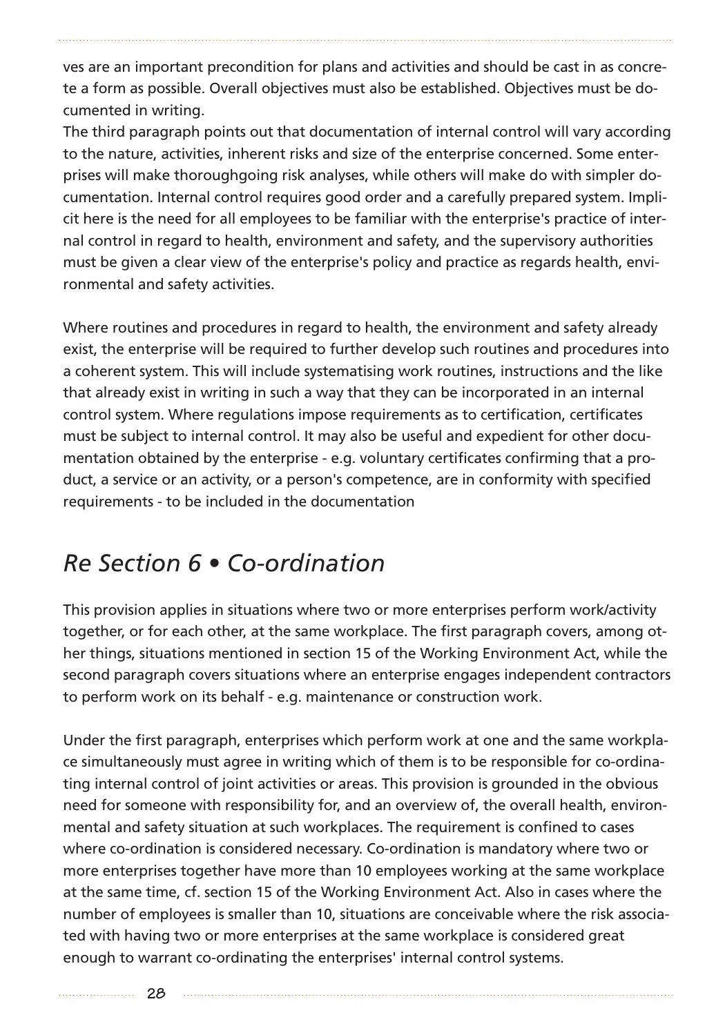ves are an important precondition for plans and activities and should be cast in as concrete a form as possible. Overall objectives must also be established. Objectives must be documented in writing.

The third paragraph points out that documentation of internal control will vary according to the nature, activities, inherent risks and size of the enterprise concerned. Some enterprises will make thoroughgoing risk analyses, while others will make do with simpler documentation. Internal control requires good order and a carefully prepared system. Implicit here is the need for all employees to be familiar with the enterprise's practice of internal control in regard to health, environment and safety, and the supervisory authorities must be given a clear view of the enterprise's policy and practice as regards health, environmental and safety activities.

Where routines and procedures in regard to health, the environment and safety already exist, the enterprise will be required to further develop such routines and procedures into a coherent system. This will include systematising work routines, instructions and the like that already exist in writing in such a way that they can be incorporated in an internal control system. Where regulations impose requirements as to certification, certificates must be subject to internal control. It may also be useful and expedient for other documentation obtained by the enterprise - e.g. voluntary certificates confirming that a product, a service or an activity, or a person's competence, are in conformity with specified requirements - to be included in the documentation

## *Re Section 6 • Co-ordination*

This provision applies in situations where two or more enterprises perform work/activity together, or for each other, at the same workplace. The first paragraph covers, among other things, situations mentioned in section 15 of the Working Environment Act, while the second paragraph covers situations where an enterprise engages independent contractors to perform work on its behalf - e.g. maintenance or construction work.

Under the first paragraph, enterprises which perform work at one and the same workplace simultaneously must agree in writing which of them is to be responsible for co-ordinating internal control of joint activities or areas. This provision is grounded in the obvious need for someone with responsibility for, and an overview of, the overall health, environmental and safety situation at such workplaces. The requirement is confined to cases where co-ordination is considered necessary. Co-ordination is mandatory where two or more enterprises together have more than 10 employees working at the same workplace at the same time, cf. section 15 of the Working Environment Act. Also in cases where the number of employees is smaller than 10, situations are conceivable where the risk associated with having two or more enterprises at the same workplace is considered great enough to warrant co-ordinating the enterprises' internal control systems.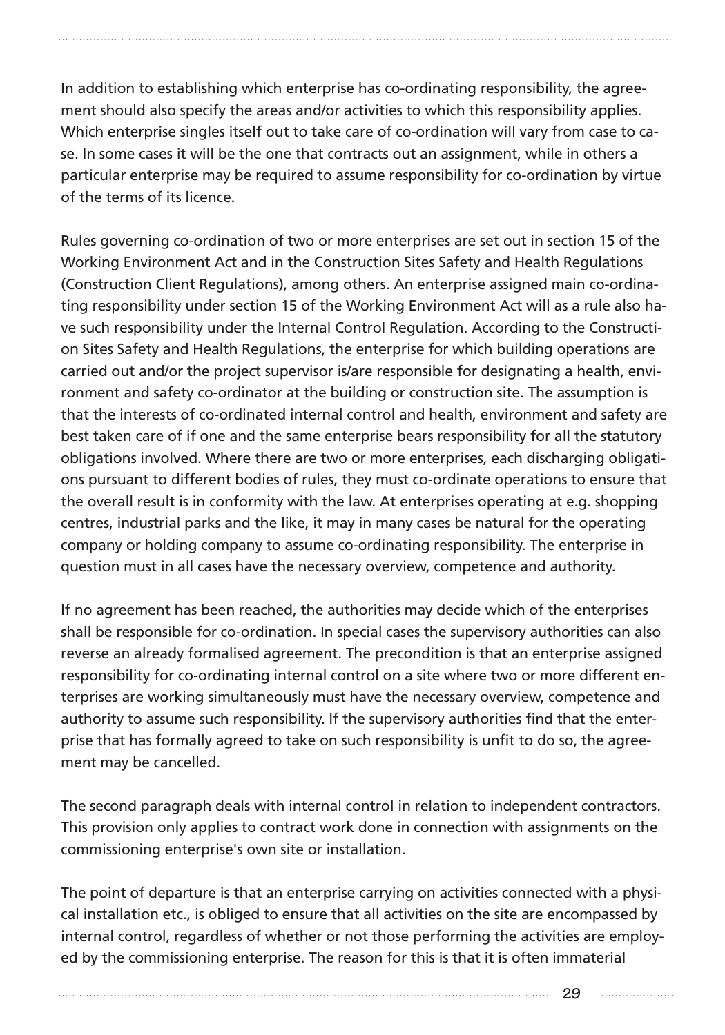In addition to establishing which enterprise has co-ordinating responsibility, the agreement should also specify the areas and/or activities to which this responsibility applies. Which enterprise singles itself out to take care of co-ordination will vary from case to case. In some cases it will be the one that contracts out an assignment, while in others a particular enterprise may be required to assume responsibility for co-ordination by virtue of the terms of its licence.

Rules governing co-ordination of two or more enterprises are set out in section 15 of the Working Environment Act and in the Construction Sites Safety and Health Regulations (Construction Client Regulations), among others. An enterprise assigned main co-ordinating responsibility under section 15 of the Working Environment Act will as a rule also have such responsibility under the Internal Control Regulation. According to the Construction Sites Safety and Health Regulations, the enterprise for which building operations are carried out and/or the project supervisor is/are responsible for designating a health, environment and safety co-ordinator at the building or construction site. The assumption is that the interests of co-ordinated internal control and health, environment and safety are best taken care of if one and the same enterprise bears responsibility for all the statutory obligations involved. Where there are two or more enterprises, each discharging obligations pursuant to different bodies of rules, they must co-ordinate operations to ensure that the overall result is in conformity with the law. At enterprises operating at e.g. shopping centres, industrial parks and the like, it may in many cases be natural for the operating company or holding company to assume co-ordinating responsibility. The enterprise in question must in all cases have the necessary overview, competence and authority.

If no agreement has been reached, the authorities may decide which of the enterprises shall be responsible for co-ordination. In special cases the supervisory authorities can also reverse an already formalised agreement. The precondition is that an enterprise assigned responsibility for co-ordinating internal control on a site where two or more different enterprises are working simultaneously must have the necessary overview, competence and authority to assume such responsibility. If the supervisory authorities find that the enterprise that has formally agreed to take on such responsibility is unfit to do so, the agreement may be cancelled.

The second paragraph deals with internal control in relation to independent contractors. This provision only applies to contract work done in connection with assignments on the commissioning enterprise's own site or installation.

The point of departure is that an enterprise carrying on activities connected with a physical installation etc., is obliged to ensure that all activities on the site are encompassed by internal control, regardless of whether or not those performing the activities are employed by the commissioning enterprise. The reason for this is that it is often immaterial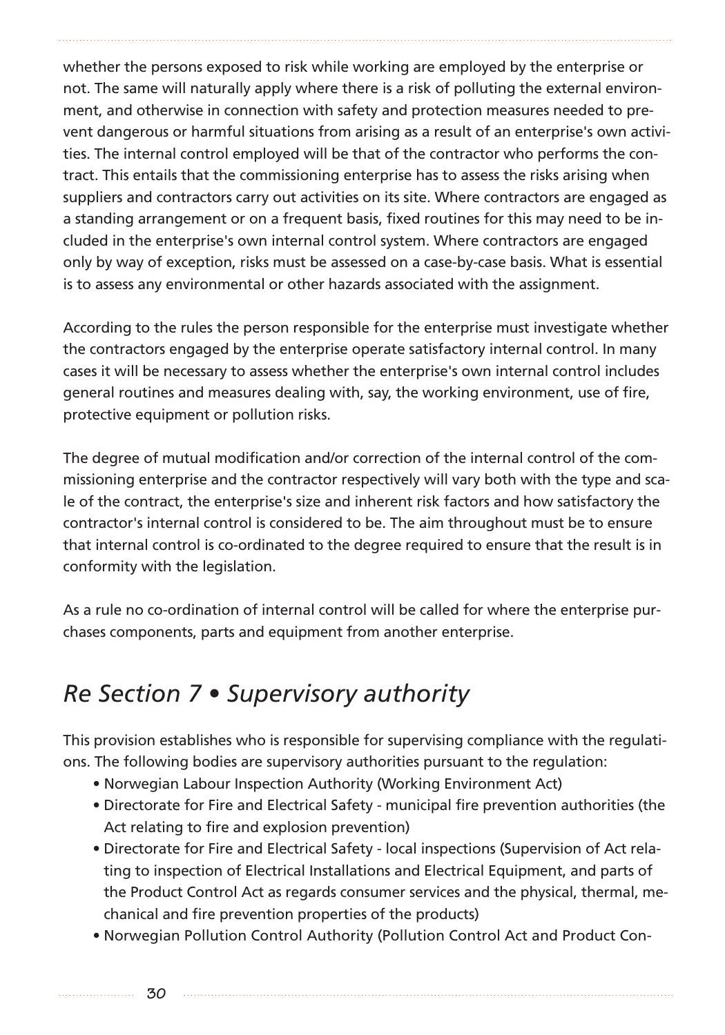whether the persons exposed to risk while working are employed by the enterprise or not. The same will naturally apply where there is a risk of polluting the external environment, and otherwise in connection with safety and protection measures needed to prevent dangerous or harmful situations from arising as a result of an enterprise's own activities. The internal control employed will be that of the contractor who performs the contract. This entails that the commissioning enterprise has to assess the risks arising when suppliers and contractors carry out activities on its site. Where contractors are engaged as a standing arrangement or on a frequent basis, fixed routines for this may need to be included in the enterprise's own internal control system. Where contractors are engaged only by way of exception, risks must be assessed on a case-by-case basis. What is essential is to assess any environmental or other hazards associated with the assignment.

According to the rules the person responsible for the enterprise must investigate whether the contractors engaged by the enterprise operate satisfactory internal control. In many cases it will be necessary to assess whether the enterprise's own internal control includes general routines and measures dealing with, say, the working environment, use of fire, protective equipment or pollution risks.

The degree of mutual modification and/or correction of the internal control of the commissioning enterprise and the contractor respectively will vary both with the type and scale of the contract, the enterprise's size and inherent risk factors and how satisfactory the contractor's internal control is considered to be. The aim throughout must be to ensure that internal control is co-ordinated to the degree required to ensure that the result is in conformity with the legislation.

As a rule no co-ordination of internal control will be called for where the enterprise purchases components, parts and equipment from another enterprise.

# *Re Section 7 • Supervisory authority*

This provision establishes who is responsible for supervising compliance with the regulations. The following bodies are supervisory authorities pursuant to the regulation:

- Norwegian Labour Inspection Authority (Working Environment Act)
- Directorate for Fire and Electrical Safety municipal fire prevention authorities (the Act relating to fire and explosion prevention)
- Directorate for Fire and Electrical Safety local inspections (Supervision of Act relating to inspection of Electrical Installations and Electrical Equipment, and parts of the Product Control Act as regards consumer services and the physical, thermal, mechanical and fire prevention properties of the products)
- Norwegian Pollution Control Authority (Pollution Control Act and Product Con-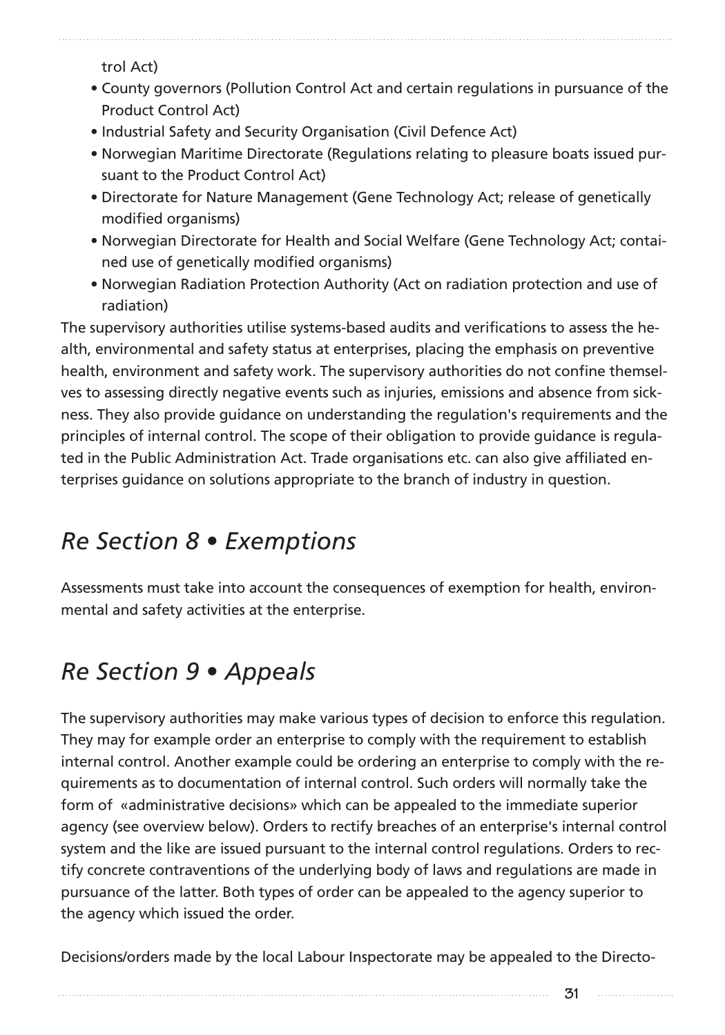trol Act)

- County governors (Pollution Control Act and certain regulations in pursuance of the Product Control Act)
- Industrial Safety and Security Organisation (Civil Defence Act)
- Norwegian Maritime Directorate (Regulations relating to pleasure boats issued pursuant to the Product Control Act)
- Directorate for Nature Management (Gene Technology Act; release of genetically modified organisms)
- Norwegian Directorate for Health and Social Welfare (Gene Technology Act; contained use of genetically modified organisms)
- Norwegian Radiation Protection Authority (Act on radiation protection and use of radiation)

The supervisory authorities utilise systems-based audits and verifications to assess the health, environmental and safety status at enterprises, placing the emphasis on preventive health, environment and safety work. The supervisory authorities do not confine themselves to assessing directly negative events such as injuries, emissions and absence from sickness. They also provide guidance on understanding the regulation's requirements and the principles of internal control. The scope of their obligation to provide guidance is regulated in the Public Administration Act. Trade organisations etc. can also give affiliated enterprises guidance on solutions appropriate to the branch of industry in question.

## *Re Section 8 • Exemptions*

Assessments must take into account the consequences of exemption for health, environmental and safety activities at the enterprise.

# *Re Section 9 • Appeals*

The supervisory authorities may make various types of decision to enforce this regulation. They may for example order an enterprise to comply with the requirement to establish internal control. Another example could be ordering an enterprise to comply with the requirements as to documentation of internal control. Such orders will normally take the form of «administrative decisions» which can be appealed to the immediate superior agency (see overview below). Orders to rectify breaches of an enterprise's internal control system and the like are issued pursuant to the internal control regulations. Orders to rectify concrete contraventions of the underlying body of laws and regulations are made in pursuance of the latter. Both types of order can be appealed to the agency superior to the agency which issued the order.

Decisions/orders made by the local Labour Inspectorate may be appealed to the Directo-